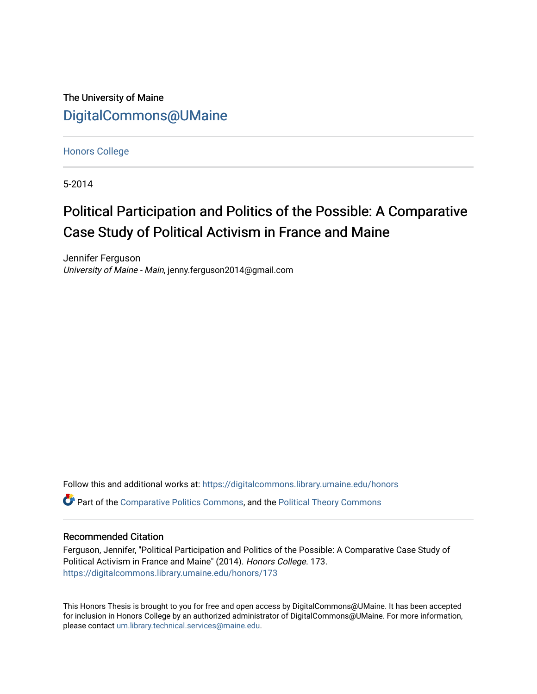The University of Maine [DigitalCommons@UMaine](https://digitalcommons.library.umaine.edu/)

[Honors College](https://digitalcommons.library.umaine.edu/honors)

5-2014

## Political Participation and Politics of the Possible: A Comparative Case Study of Political Activism in France and Maine

Jennifer Ferguson University of Maine - Main, jenny.ferguson2014@gmail.com

Follow this and additional works at: [https://digitalcommons.library.umaine.edu/honors](https://digitalcommons.library.umaine.edu/honors?utm_source=digitalcommons.library.umaine.edu%2Fhonors%2F173&utm_medium=PDF&utm_campaign=PDFCoverPages)  **C** Part of the [Comparative Politics Commons,](http://network.bepress.com/hgg/discipline/388?utm_source=digitalcommons.library.umaine.edu%2Fhonors%2F173&utm_medium=PDF&utm_campaign=PDFCoverPages) and the Political Theory Commons

#### Recommended Citation

Ferguson, Jennifer, "Political Participation and Politics of the Possible: A Comparative Case Study of Political Activism in France and Maine" (2014). Honors College. 173. [https://digitalcommons.library.umaine.edu/honors/173](https://digitalcommons.library.umaine.edu/honors/173?utm_source=digitalcommons.library.umaine.edu%2Fhonors%2F173&utm_medium=PDF&utm_campaign=PDFCoverPages) 

This Honors Thesis is brought to you for free and open access by DigitalCommons@UMaine. It has been accepted for inclusion in Honors College by an authorized administrator of DigitalCommons@UMaine. For more information, please contact [um.library.technical.services@maine.edu.](mailto:um.library.technical.services@maine.edu)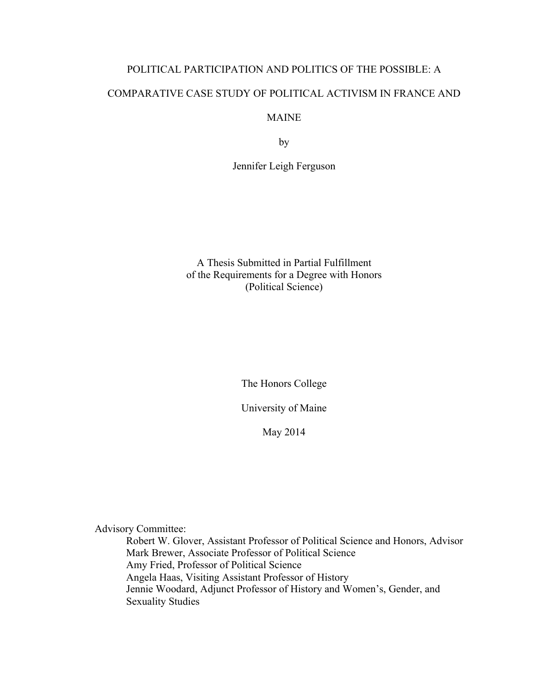# POLITICAL PARTICIPATION AND POLITICS OF THE POSSIBLE: A COMPARATIVE CASE STUDY OF POLITICAL ACTIVISM IN FRANCE AND

### MAINE

by

Jennifer Leigh Ferguson

A Thesis Submitted in Partial Fulfillment of the Requirements for a Degree with Honors (Political Science)

The Honors College

University of Maine

May 2014

Advisory Committee:

Robert W. Glover, Assistant Professor of Political Science and Honors, Advisor Mark Brewer, Associate Professor of Political Science Amy Fried, Professor of Political Science Angela Haas, Visiting Assistant Professor of History Jennie Woodard, Adjunct Professor of History and Women's, Gender, and Sexuality Studies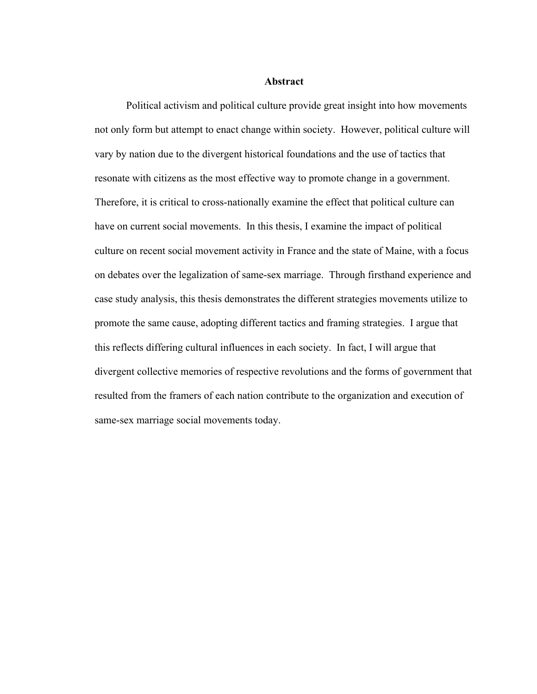#### **Abstract**

Political activism and political culture provide great insight into how movements not only form but attempt to enact change within society. However, political culture will vary by nation due to the divergent historical foundations and the use of tactics that resonate with citizens as the most effective way to promote change in a government. Therefore, it is critical to cross-nationally examine the effect that political culture can have on current social movements. In this thesis, I examine the impact of political culture on recent social movement activity in France and the state of Maine, with a focus on debates over the legalization of same-sex marriage. Through firsthand experience and case study analysis, this thesis demonstrates the different strategies movements utilize to promote the same cause, adopting different tactics and framing strategies. I argue that this reflects differing cultural influences in each society. In fact, I will argue that divergent collective memories of respective revolutions and the forms of government that resulted from the framers of each nation contribute to the organization and execution of same-sex marriage social movements today.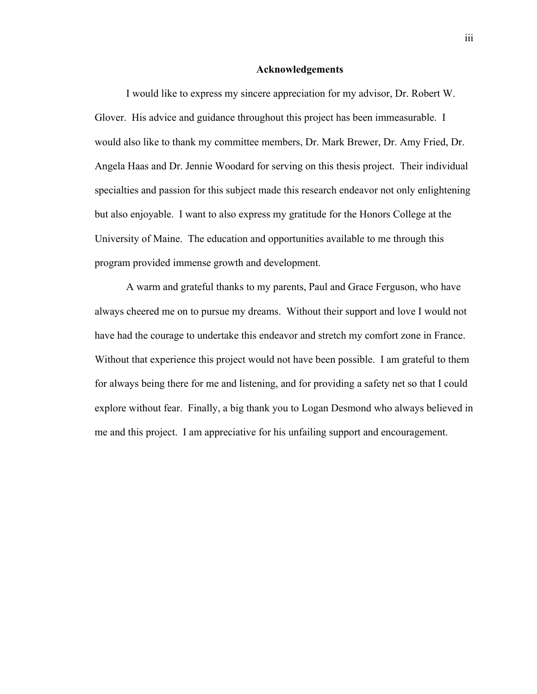#### **Acknowledgements**

I would like to express my sincere appreciation for my advisor, Dr. Robert W. Glover. His advice and guidance throughout this project has been immeasurable. I would also like to thank my committee members, Dr. Mark Brewer, Dr. Amy Fried, Dr. Angela Haas and Dr. Jennie Woodard for serving on this thesis project. Their individual specialties and passion for this subject made this research endeavor not only enlightening but also enjoyable. I want to also express my gratitude for the Honors College at the University of Maine. The education and opportunities available to me through this program provided immense growth and development.

A warm and grateful thanks to my parents, Paul and Grace Ferguson, who have always cheered me on to pursue my dreams. Without their support and love I would not have had the courage to undertake this endeavor and stretch my comfort zone in France. Without that experience this project would not have been possible. I am grateful to them for always being there for me and listening, and for providing a safety net so that I could explore without fear. Finally, a big thank you to Logan Desmond who always believed in me and this project. I am appreciative for his unfailing support and encouragement.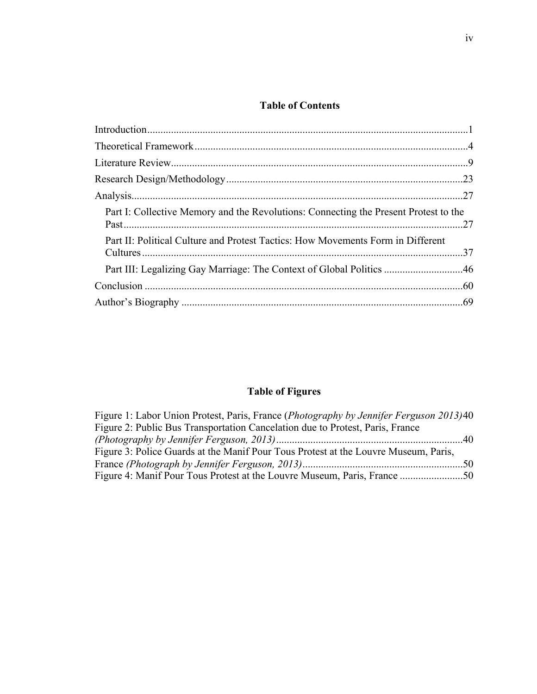## **Table of Contents**

| Part I: Collective Memory and the Revolutions: Connecting the Present Protest to the |  |
|--------------------------------------------------------------------------------------|--|
| Part II: Political Culture and Protest Tactics: How Movements Form in Different      |  |
| Part III: Legalizing Gay Marriage: The Context of Global Politics 46                 |  |
|                                                                                      |  |
|                                                                                      |  |

## **Table of Figures**

| Figure 1: Labor Union Protest, Paris, France (Photography by Jennifer Ferguson 2013)40 |  |
|----------------------------------------------------------------------------------------|--|
| Figure 2: Public Bus Transportation Cancelation due to Protest, Paris, France          |  |
|                                                                                        |  |
| Figure 3: Police Guards at the Manif Pour Tous Protest at the Louvre Museum, Paris,    |  |
|                                                                                        |  |
|                                                                                        |  |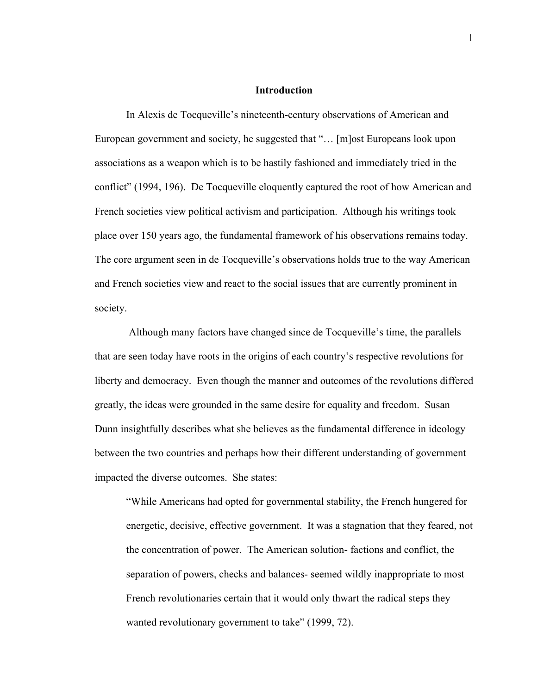#### **Introduction**

In Alexis de Tocqueville's nineteenth-century observations of American and European government and society, he suggested that "… [m]ost Europeans look upon associations as a weapon which is to be hastily fashioned and immediately tried in the conflict" (1994, 196). De Tocqueville eloquently captured the root of how American and French societies view political activism and participation. Although his writings took place over 150 years ago, the fundamental framework of his observations remains today. The core argument seen in de Tocqueville's observations holds true to the way American and French societies view and react to the social issues that are currently prominent in society.

Although many factors have changed since de Tocqueville's time, the parallels that are seen today have roots in the origins of each country's respective revolutions for liberty and democracy. Even though the manner and outcomes of the revolutions differed greatly, the ideas were grounded in the same desire for equality and freedom. Susan Dunn insightfully describes what she believes as the fundamental difference in ideology between the two countries and perhaps how their different understanding of government impacted the diverse outcomes. She states:

"While Americans had opted for governmental stability, the French hungered for energetic, decisive, effective government. It was a stagnation that they feared, not the concentration of power. The American solution- factions and conflict, the separation of powers, checks and balances- seemed wildly inappropriate to most French revolutionaries certain that it would only thwart the radical steps they wanted revolutionary government to take" (1999, 72).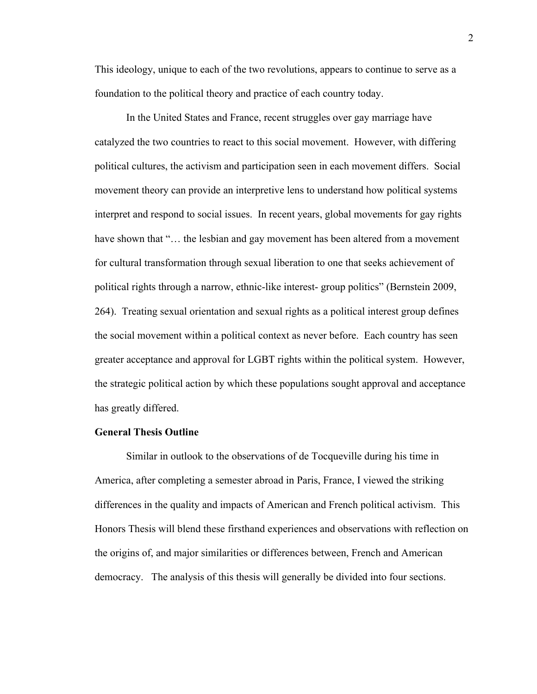This ideology, unique to each of the two revolutions, appears to continue to serve as a foundation to the political theory and practice of each country today.

In the United States and France, recent struggles over gay marriage have catalyzed the two countries to react to this social movement. However, with differing political cultures, the activism and participation seen in each movement differs. Social movement theory can provide an interpretive lens to understand how political systems interpret and respond to social issues. In recent years, global movements for gay rights have shown that "... the lesbian and gay movement has been altered from a movement for cultural transformation through sexual liberation to one that seeks achievement of political rights through a narrow, ethnic-like interest- group politics" (Bernstein 2009, 264). Treating sexual orientation and sexual rights as a political interest group defines the social movement within a political context as never before. Each country has seen greater acceptance and approval for LGBT rights within the political system. However, the strategic political action by which these populations sought approval and acceptance has greatly differed.

#### **General Thesis Outline**

Similar in outlook to the observations of de Tocqueville during his time in America, after completing a semester abroad in Paris, France, I viewed the striking differences in the quality and impacts of American and French political activism. This Honors Thesis will blend these firsthand experiences and observations with reflection on the origins of, and major similarities or differences between, French and American democracy. The analysis of this thesis will generally be divided into four sections.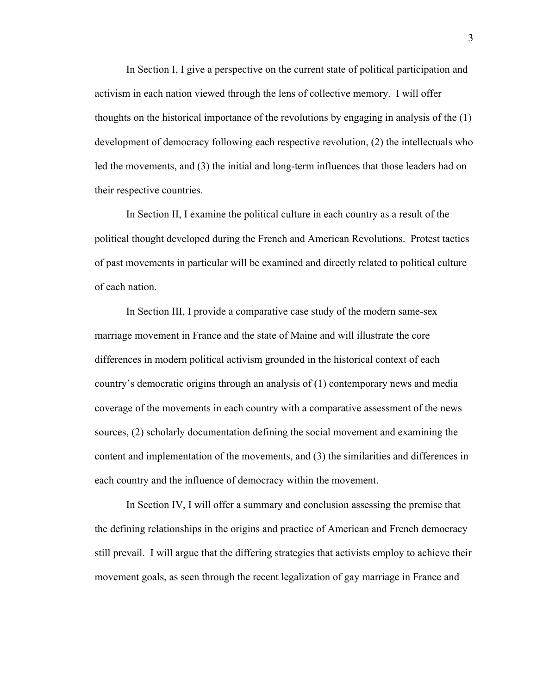In Section I, I give a perspective on the current state of political participation and activism in each nation viewed through the lens of collective memory. I will offer thoughts on the historical importance of the revolutions by engaging in analysis of the (1) development of democracy following each respective revolution, (2) the intellectuals who led the movements, and (3) the initial and long-term influences that those leaders had on their respective countries.

In Section II, I examine the political culture in each country as a result of the political thought developed during the French and American Revolutions. Protest tactics of past movements in particular will be examined and directly related to political culture of each nation.

In Section III, I provide a comparative case study of the modern same-sex marriage movement in France and the state of Maine and will illustrate the core differences in modern political activism grounded in the historical context of each country's democratic origins through an analysis of (1) contemporary news and media coverage of the movements in each country with a comparative assessment of the news sources, (2) scholarly documentation defining the social movement and examining the content and implementation of the movements, and (3) the similarities and differences in each country and the influence of democracy within the movement.

In Section IV, I will offer a summary and conclusion assessing the premise that the defining relationships in the origins and practice of American and French democracy still prevail. I will argue that the differing strategies that activists employ to achieve their movement goals, as seen through the recent legalization of gay marriage in France and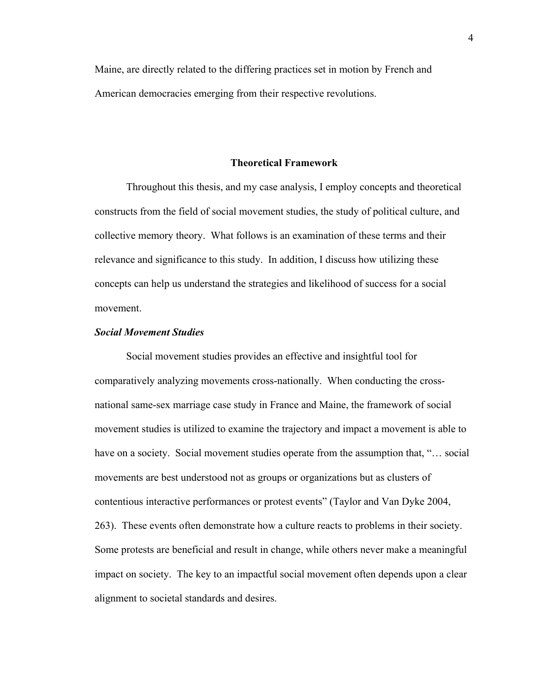Maine, are directly related to the differing practices set in motion by French and American democracies emerging from their respective revolutions.

#### **Theoretical Framework**

Throughout this thesis, and my case analysis, I employ concepts and theoretical constructs from the field of social movement studies, the study of political culture, and collective memory theory. What follows is an examination of these terms and their relevance and significance to this study. In addition, I discuss how utilizing these concepts can help us understand the strategies and likelihood of success for a social movement.

#### *Social Movement Studies*

Social movement studies provides an effective and insightful tool for comparatively analyzing movements cross-nationally. When conducting the crossnational same-sex marriage case study in France and Maine, the framework of social movement studies is utilized to examine the trajectory and impact a movement is able to have on a society. Social movement studies operate from the assumption that, "... social movements are best understood not as groups or organizations but as clusters of contentious interactive performances or protest events" (Taylor and Van Dyke 2004, 263). These events often demonstrate how a culture reacts to problems in their society. Some protests are beneficial and result in change, while others never make a meaningful impact on society. The key to an impactful social movement often depends upon a clear alignment to societal standards and desires.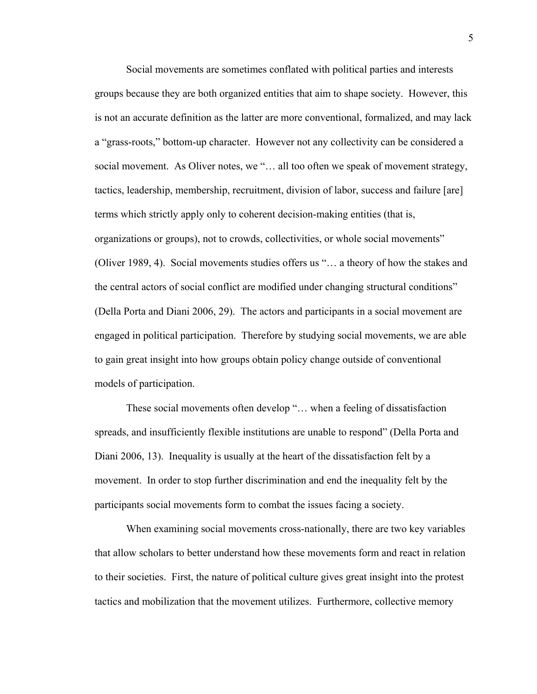Social movements are sometimes conflated with political parties and interests groups because they are both organized entities that aim to shape society. However, this is not an accurate definition as the latter are more conventional, formalized, and may lack a "grass-roots," bottom-up character. However not any collectivity can be considered a social movement. As Oliver notes, we "... all too often we speak of movement strategy, tactics, leadership, membership, recruitment, division of labor, success and failure [are] terms which strictly apply only to coherent decision-making entities (that is, organizations or groups), not to crowds, collectivities, or whole social movements" (Oliver 1989, 4). Social movements studies offers us "… a theory of how the stakes and the central actors of social conflict are modified under changing structural conditions" (Della Porta and Diani 2006, 29). The actors and participants in a social movement are engaged in political participation. Therefore by studying social movements, we are able to gain great insight into how groups obtain policy change outside of conventional models of participation.

These social movements often develop "… when a feeling of dissatisfaction spreads, and insufficiently flexible institutions are unable to respond" (Della Porta and Diani 2006, 13). Inequality is usually at the heart of the dissatisfaction felt by a movement. In order to stop further discrimination and end the inequality felt by the participants social movements form to combat the issues facing a society.

When examining social movements cross-nationally, there are two key variables that allow scholars to better understand how these movements form and react in relation to their societies. First, the nature of political culture gives great insight into the protest tactics and mobilization that the movement utilizes. Furthermore, collective memory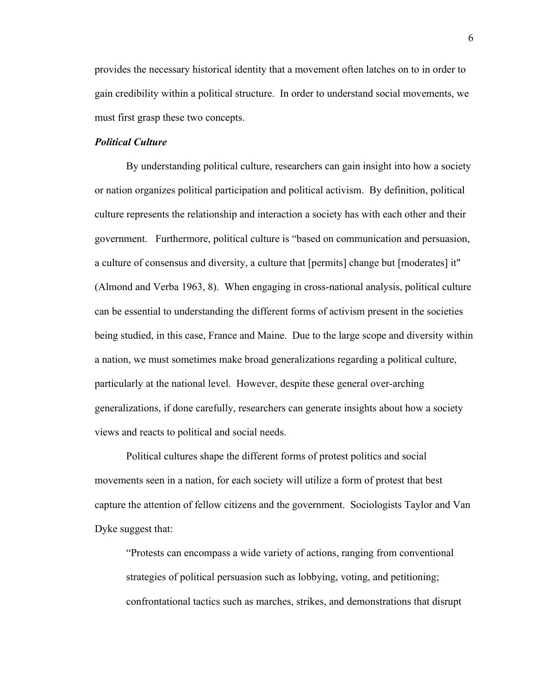provides the necessary historical identity that a movement often latches on to in order to gain credibility within a political structure. In order to understand social movements, we must first grasp these two concepts.

#### *Political Culture*

By understanding political culture, researchers can gain insight into how a society or nation organizes political participation and political activism. By definition, political culture represents the relationship and interaction a society has with each other and their government. Furthermore, political culture is "based on communication and persuasion, a culture of consensus and diversity, a culture that [permits] change but [moderates] it" (Almond and Verba 1963, 8). When engaging in cross-national analysis, political culture can be essential to understanding the different forms of activism present in the societies being studied, in this case, France and Maine. Due to the large scope and diversity within a nation, we must sometimes make broad generalizations regarding a political culture, particularly at the national level. However, despite these general over-arching generalizations, if done carefully, researchers can generate insights about how a society views and reacts to political and social needs.

Political cultures shape the different forms of protest politics and social movements seen in a nation, for each society will utilize a form of protest that best capture the attention of fellow citizens and the government. Sociologists Taylor and Van Dyke suggest that:

"Protests can encompass a wide variety of actions, ranging from conventional strategies of political persuasion such as lobbying, voting, and petitioning; confrontational tactics such as marches, strikes, and demonstrations that disrupt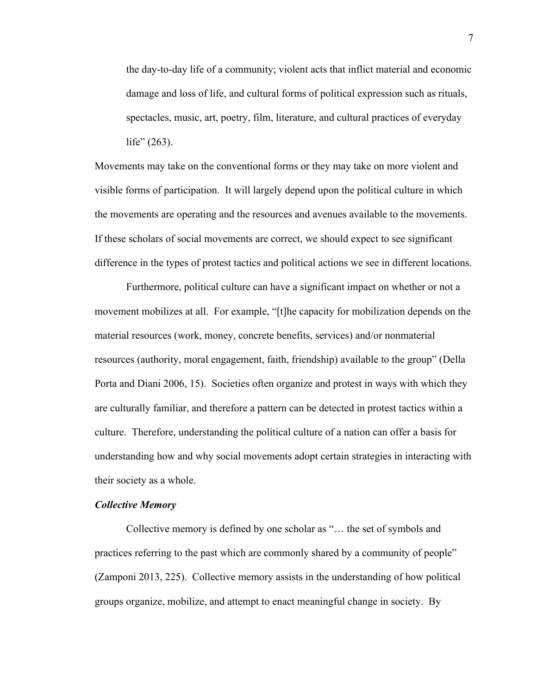the day-to-day life of a community; violent acts that inflict material and economic damage and loss of life, and cultural forms of political expression such as rituals, spectacles, music, art, poetry, film, literature, and cultural practices of everyday life" (263).

Movements may take on the conventional forms or they may take on more violent and visible forms of participation. It will largely depend upon the political culture in which the movements are operating and the resources and avenues available to the movements. If these scholars of social movements are correct, we should expect to see significant difference in the types of protest tactics and political actions we see in different locations.

Furthermore, political culture can have a significant impact on whether or not a movement mobilizes at all. For example, "[t]he capacity for mobilization depends on the material resources (work, money, concrete benefits, services) and/or nonmaterial resources (authority, moral engagement, faith, friendship) available to the group" (Della Porta and Diani 2006, 15). Societies often organize and protest in ways with which they are culturally familiar, and therefore a pattern can be detected in protest tactics within a culture. Therefore, understanding the political culture of a nation can offer a basis for understanding how and why social movements adopt certain strategies in interacting with their society as a whole.

#### *Collective Memory*

Collective memory is defined by one scholar as "… the set of symbols and practices referring to the past which are commonly shared by a community of people" (Zamponi 2013, 225). Collective memory assists in the understanding of how political groups organize, mobilize, and attempt to enact meaningful change in society. By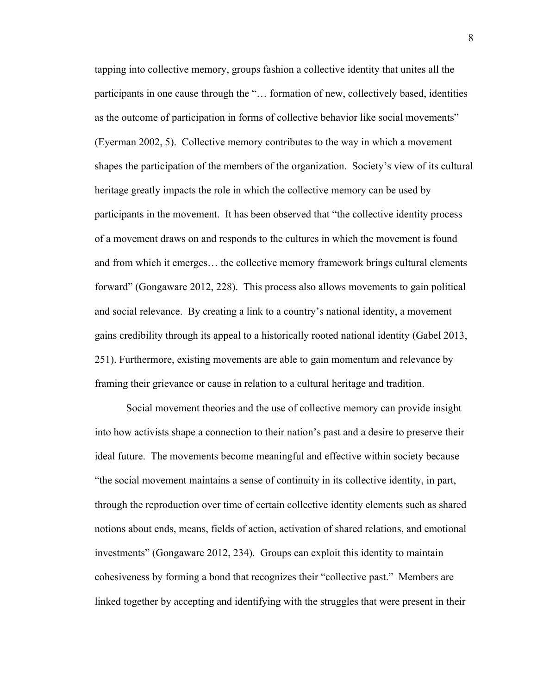tapping into collective memory, groups fashion a collective identity that unites all the participants in one cause through the "… formation of new, collectively based, identities as the outcome of participation in forms of collective behavior like social movements" (Eyerman 2002, 5). Collective memory contributes to the way in which a movement shapes the participation of the members of the organization. Society's view of its cultural heritage greatly impacts the role in which the collective memory can be used by participants in the movement. It has been observed that "the collective identity process of a movement draws on and responds to the cultures in which the movement is found and from which it emerges… the collective memory framework brings cultural elements forward" (Gongaware 2012, 228). This process also allows movements to gain political and social relevance. By creating a link to a country's national identity, a movement gains credibility through its appeal to a historically rooted national identity (Gabel 2013, 251). Furthermore, existing movements are able to gain momentum and relevance by framing their grievance or cause in relation to a cultural heritage and tradition.

Social movement theories and the use of collective memory can provide insight into how activists shape a connection to their nation's past and a desire to preserve their ideal future. The movements become meaningful and effective within society because "the social movement maintains a sense of continuity in its collective identity, in part, through the reproduction over time of certain collective identity elements such as shared notions about ends, means, fields of action, activation of shared relations, and emotional investments" (Gongaware 2012, 234). Groups can exploit this identity to maintain cohesiveness by forming a bond that recognizes their "collective past." Members are linked together by accepting and identifying with the struggles that were present in their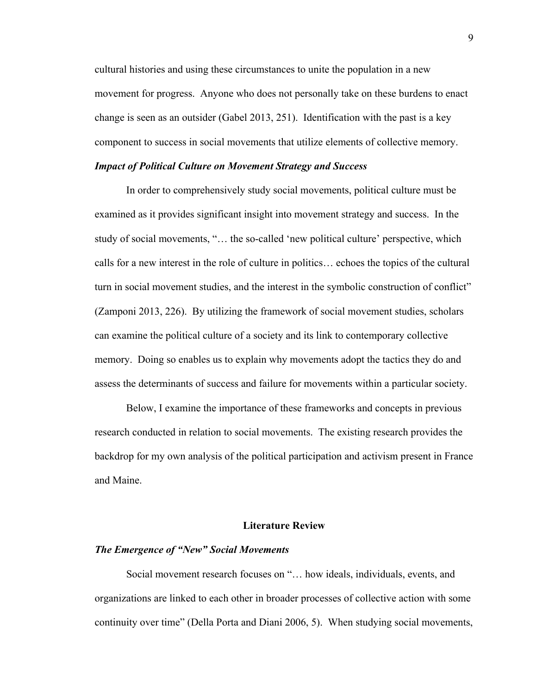cultural histories and using these circumstances to unite the population in a new movement for progress. Anyone who does not personally take on these burdens to enact change is seen as an outsider (Gabel 2013, 251). Identification with the past is a key component to success in social movements that utilize elements of collective memory.

#### *Impact of Political Culture on Movement Strategy and Success*

In order to comprehensively study social movements, political culture must be examined as it provides significant insight into movement strategy and success. In the study of social movements, "… the so-called 'new political culture' perspective, which calls for a new interest in the role of culture in politics… echoes the topics of the cultural turn in social movement studies, and the interest in the symbolic construction of conflict" (Zamponi 2013, 226). By utilizing the framework of social movement studies, scholars can examine the political culture of a society and its link to contemporary collective memory. Doing so enables us to explain why movements adopt the tactics they do and assess the determinants of success and failure for movements within a particular society.

Below, I examine the importance of these frameworks and concepts in previous research conducted in relation to social movements. The existing research provides the backdrop for my own analysis of the political participation and activism present in France and Maine.

#### **Literature Review**

#### *The Emergence of "New" Social Movements*

Social movement research focuses on "… how ideals, individuals, events, and organizations are linked to each other in broader processes of collective action with some continuity over time" (Della Porta and Diani 2006, 5). When studying social movements,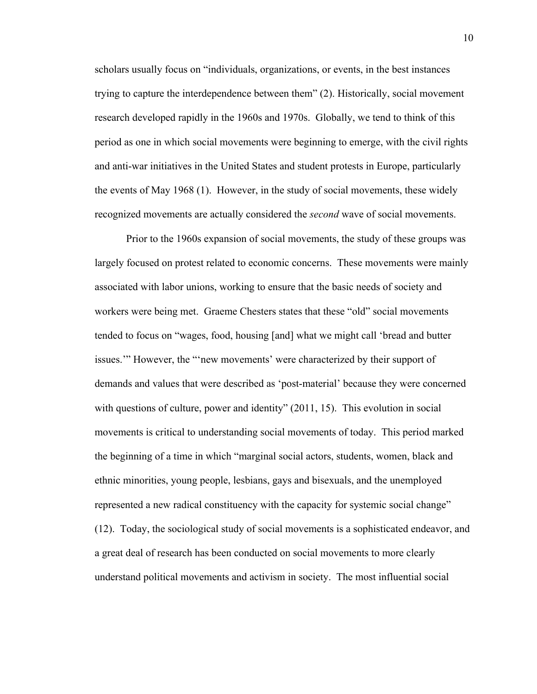scholars usually focus on "individuals, organizations, or events, in the best instances trying to capture the interdependence between them" (2). Historically, social movement research developed rapidly in the 1960s and 1970s. Globally, we tend to think of this period as one in which social movements were beginning to emerge, with the civil rights and anti-war initiatives in the United States and student protests in Europe, particularly the events of May 1968 (1). However, in the study of social movements, these widely recognized movements are actually considered the *second* wave of social movements.

Prior to the 1960s expansion of social movements, the study of these groups was largely focused on protest related to economic concerns. These movements were mainly associated with labor unions, working to ensure that the basic needs of society and workers were being met. Graeme Chesters states that these "old" social movements tended to focus on "wages, food, housing [and] what we might call 'bread and butter issues.'" However, the "'new movements' were characterized by their support of demands and values that were described as 'post-material' because they were concerned with questions of culture, power and identity" (2011, 15). This evolution in social movements is critical to understanding social movements of today. This period marked the beginning of a time in which "marginal social actors, students, women, black and ethnic minorities, young people, lesbians, gays and bisexuals, and the unemployed represented a new radical constituency with the capacity for systemic social change" (12). Today, the sociological study of social movements is a sophisticated endeavor, and a great deal of research has been conducted on social movements to more clearly understand political movements and activism in society. The most influential social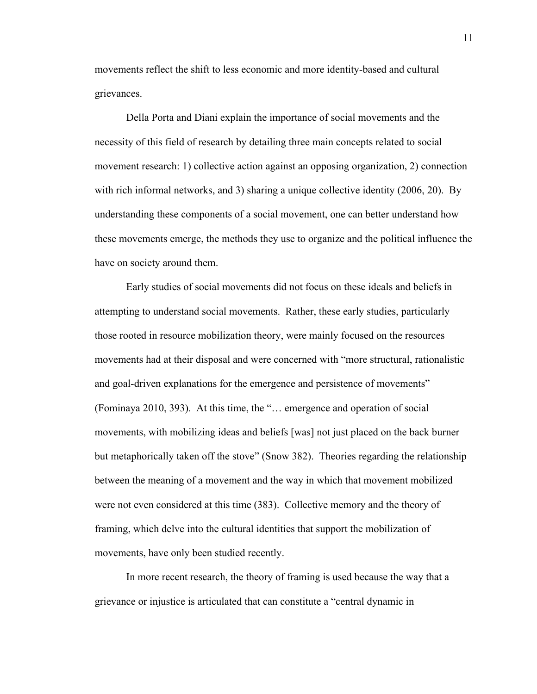movements reflect the shift to less economic and more identity-based and cultural grievances.

Della Porta and Diani explain the importance of social movements and the necessity of this field of research by detailing three main concepts related to social movement research: 1) collective action against an opposing organization, 2) connection with rich informal networks, and 3) sharing a unique collective identity (2006, 20). By understanding these components of a social movement, one can better understand how these movements emerge, the methods they use to organize and the political influence the have on society around them.

Early studies of social movements did not focus on these ideals and beliefs in attempting to understand social movements. Rather, these early studies, particularly those rooted in resource mobilization theory, were mainly focused on the resources movements had at their disposal and were concerned with "more structural, rationalistic and goal-driven explanations for the emergence and persistence of movements" (Fominaya 2010, 393). At this time, the "… emergence and operation of social movements, with mobilizing ideas and beliefs [was] not just placed on the back burner but metaphorically taken off the stove" (Snow 382). Theories regarding the relationship between the meaning of a movement and the way in which that movement mobilized were not even considered at this time (383). Collective memory and the theory of framing, which delve into the cultural identities that support the mobilization of movements, have only been studied recently.

In more recent research, the theory of framing is used because the way that a grievance or injustice is articulated that can constitute a "central dynamic in

11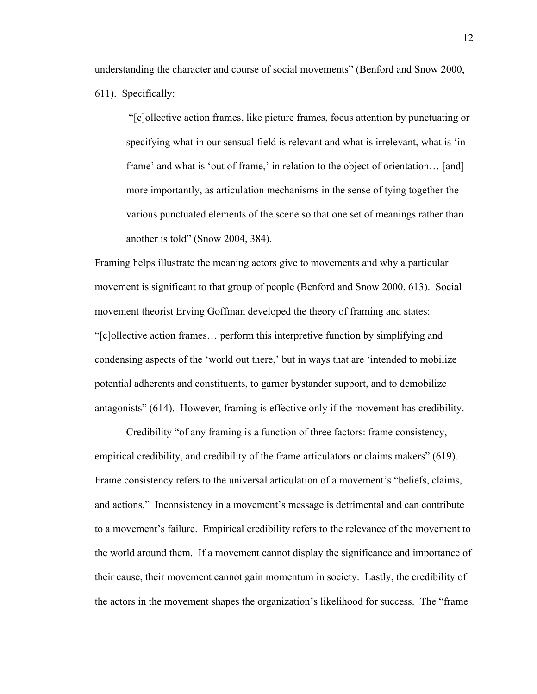understanding the character and course of social movements" (Benford and Snow 2000,

611). Specifically:

"[c]ollective action frames, like picture frames, focus attention by punctuating or specifying what in our sensual field is relevant and what is irrelevant, what is 'in frame' and what is 'out of frame,' in relation to the object of orientation… [and] more importantly, as articulation mechanisms in the sense of tying together the various punctuated elements of the scene so that one set of meanings rather than another is told" (Snow 2004, 384).

Framing helps illustrate the meaning actors give to movements and why a particular movement is significant to that group of people (Benford and Snow 2000, 613). Social movement theorist Erving Goffman developed the theory of framing and states: "[c]ollective action frames… perform this interpretive function by simplifying and condensing aspects of the 'world out there,' but in ways that are 'intended to mobilize potential adherents and constituents, to garner bystander support, and to demobilize antagonists" (614). However, framing is effective only if the movement has credibility.

Credibility "of any framing is a function of three factors: frame consistency, empirical credibility, and credibility of the frame articulators or claims makers" (619). Frame consistency refers to the universal articulation of a movement's "beliefs, claims, and actions." Inconsistency in a movement's message is detrimental and can contribute to a movement's failure. Empirical credibility refers to the relevance of the movement to the world around them. If a movement cannot display the significance and importance of their cause, their movement cannot gain momentum in society. Lastly, the credibility of the actors in the movement shapes the organization's likelihood for success. The "frame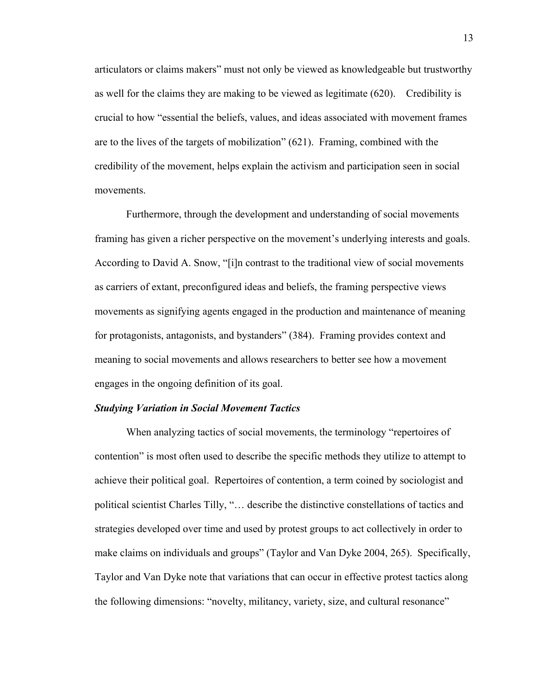articulators or claims makers" must not only be viewed as knowledgeable but trustworthy as well for the claims they are making to be viewed as legitimate (620). Credibility is crucial to how "essential the beliefs, values, and ideas associated with movement frames are to the lives of the targets of mobilization" (621). Framing, combined with the credibility of the movement, helps explain the activism and participation seen in social movements.

Furthermore, through the development and understanding of social movements framing has given a richer perspective on the movement's underlying interests and goals. According to David A. Snow, "[i]n contrast to the traditional view of social movements as carriers of extant, preconfigured ideas and beliefs, the framing perspective views movements as signifying agents engaged in the production and maintenance of meaning for protagonists, antagonists, and bystanders" (384). Framing provides context and meaning to social movements and allows researchers to better see how a movement engages in the ongoing definition of its goal.

#### *Studying Variation in Social Movement Tactics*

When analyzing tactics of social movements, the terminology "repertoires of contention" is most often used to describe the specific methods they utilize to attempt to achieve their political goal. Repertoires of contention, a term coined by sociologist and political scientist Charles Tilly, "… describe the distinctive constellations of tactics and strategies developed over time and used by protest groups to act collectively in order to make claims on individuals and groups" (Taylor and Van Dyke 2004, 265). Specifically, Taylor and Van Dyke note that variations that can occur in effective protest tactics along the following dimensions: "novelty, militancy, variety, size, and cultural resonance"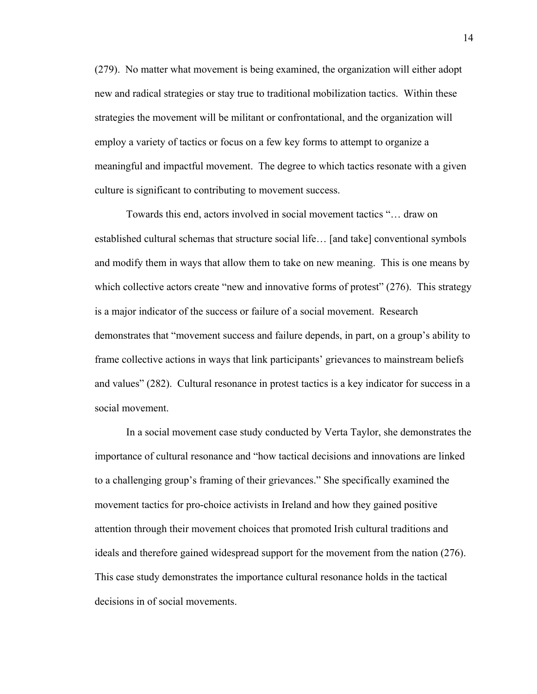(279). No matter what movement is being examined, the organization will either adopt new and radical strategies or stay true to traditional mobilization tactics. Within these strategies the movement will be militant or confrontational, and the organization will employ a variety of tactics or focus on a few key forms to attempt to organize a meaningful and impactful movement. The degree to which tactics resonate with a given culture is significant to contributing to movement success.

Towards this end, actors involved in social movement tactics "… draw on established cultural schemas that structure social life… [and take] conventional symbols and modify them in ways that allow them to take on new meaning. This is one means by which collective actors create "new and innovative forms of protest" (276). This strategy is a major indicator of the success or failure of a social movement. Research demonstrates that "movement success and failure depends, in part, on a group's ability to frame collective actions in ways that link participants' grievances to mainstream beliefs and values" (282). Cultural resonance in protest tactics is a key indicator for success in a social movement.

In a social movement case study conducted by Verta Taylor, she demonstrates the importance of cultural resonance and "how tactical decisions and innovations are linked to a challenging group's framing of their grievances." She specifically examined the movement tactics for pro-choice activists in Ireland and how they gained positive attention through their movement choices that promoted Irish cultural traditions and ideals and therefore gained widespread support for the movement from the nation (276). This case study demonstrates the importance cultural resonance holds in the tactical decisions in of social movements.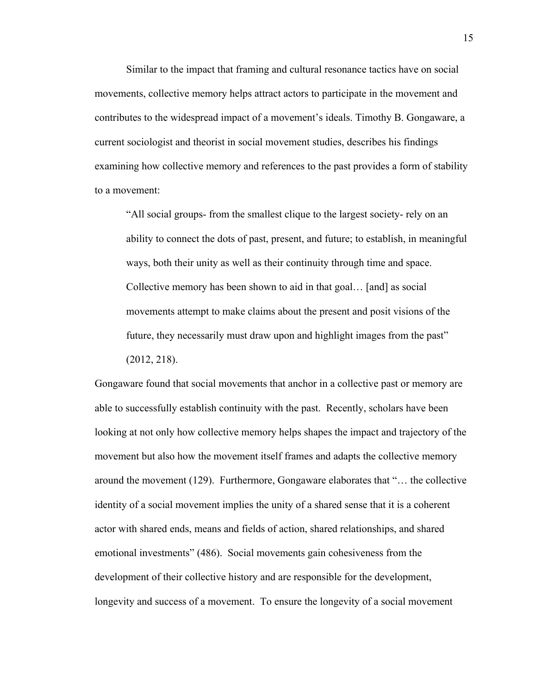Similar to the impact that framing and cultural resonance tactics have on social movements, collective memory helps attract actors to participate in the movement and contributes to the widespread impact of a movement's ideals. Timothy B. Gongaware, a current sociologist and theorist in social movement studies, describes his findings examining how collective memory and references to the past provides a form of stability to a movement:

"All social groups- from the smallest clique to the largest society- rely on an ability to connect the dots of past, present, and future; to establish, in meaningful ways, both their unity as well as their continuity through time and space. Collective memory has been shown to aid in that goal… [and] as social movements attempt to make claims about the present and posit visions of the future, they necessarily must draw upon and highlight images from the past" (2012, 218).

Gongaware found that social movements that anchor in a collective past or memory are able to successfully establish continuity with the past. Recently, scholars have been looking at not only how collective memory helps shapes the impact and trajectory of the movement but also how the movement itself frames and adapts the collective memory around the movement (129). Furthermore, Gongaware elaborates that "… the collective identity of a social movement implies the unity of a shared sense that it is a coherent actor with shared ends, means and fields of action, shared relationships, and shared emotional investments" (486). Social movements gain cohesiveness from the development of their collective history and are responsible for the development, longevity and success of a movement. To ensure the longevity of a social movement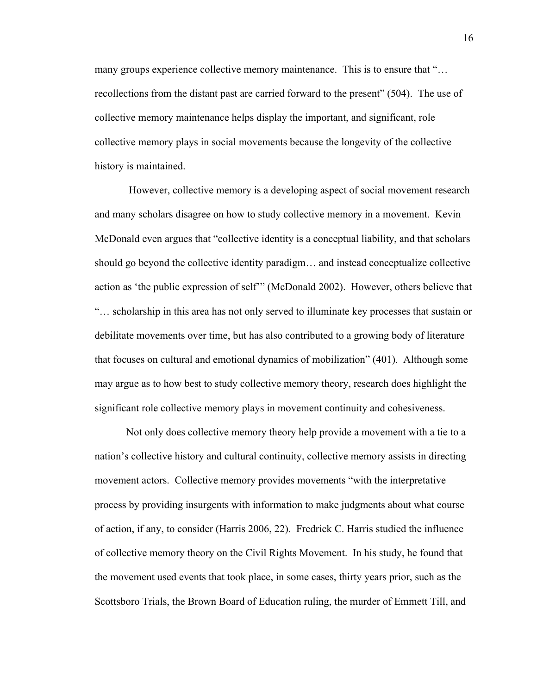many groups experience collective memory maintenance. This is to ensure that "… recollections from the distant past are carried forward to the present" (504). The use of collective memory maintenance helps display the important, and significant, role collective memory plays in social movements because the longevity of the collective history is maintained.

However, collective memory is a developing aspect of social movement research and many scholars disagree on how to study collective memory in a movement. Kevin McDonald even argues that "collective identity is a conceptual liability, and that scholars should go beyond the collective identity paradigm… and instead conceptualize collective action as 'the public expression of self'" (McDonald 2002). However, others believe that "… scholarship in this area has not only served to illuminate key processes that sustain or debilitate movements over time, but has also contributed to a growing body of literature that focuses on cultural and emotional dynamics of mobilization" (401). Although some may argue as to how best to study collective memory theory, research does highlight the significant role collective memory plays in movement continuity and cohesiveness.

Not only does collective memory theory help provide a movement with a tie to a nation's collective history and cultural continuity, collective memory assists in directing movement actors. Collective memory provides movements "with the interpretative process by providing insurgents with information to make judgments about what course of action, if any, to consider (Harris 2006, 22). Fredrick C. Harris studied the influence of collective memory theory on the Civil Rights Movement. In his study, he found that the movement used events that took place, in some cases, thirty years prior, such as the Scottsboro Trials, the Brown Board of Education ruling, the murder of Emmett Till, and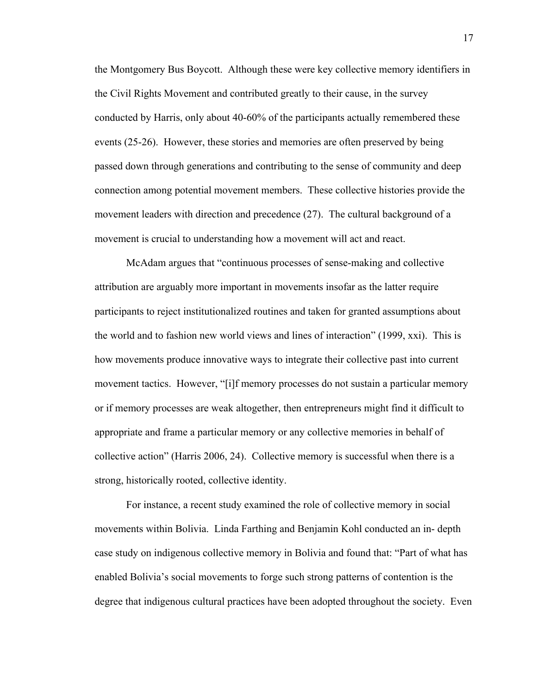the Montgomery Bus Boycott. Although these were key collective memory identifiers in the Civil Rights Movement and contributed greatly to their cause, in the survey conducted by Harris, only about 40-60% of the participants actually remembered these events (25-26). However, these stories and memories are often preserved by being passed down through generations and contributing to the sense of community and deep connection among potential movement members. These collective histories provide the movement leaders with direction and precedence (27). The cultural background of a movement is crucial to understanding how a movement will act and react.

McAdam argues that "continuous processes of sense-making and collective attribution are arguably more important in movements insofar as the latter require participants to reject institutionalized routines and taken for granted assumptions about the world and to fashion new world views and lines of interaction" (1999, xxi). This is how movements produce innovative ways to integrate their collective past into current movement tactics. However, "[i]f memory processes do not sustain a particular memory or if memory processes are weak altogether, then entrepreneurs might find it difficult to appropriate and frame a particular memory or any collective memories in behalf of collective action" (Harris 2006, 24). Collective memory is successful when there is a strong, historically rooted, collective identity.

For instance, a recent study examined the role of collective memory in social movements within Bolivia. Linda Farthing and Benjamin Kohl conducted an in- depth case study on indigenous collective memory in Bolivia and found that: "Part of what has enabled Bolivia's social movements to forge such strong patterns of contention is the degree that indigenous cultural practices have been adopted throughout the society. Even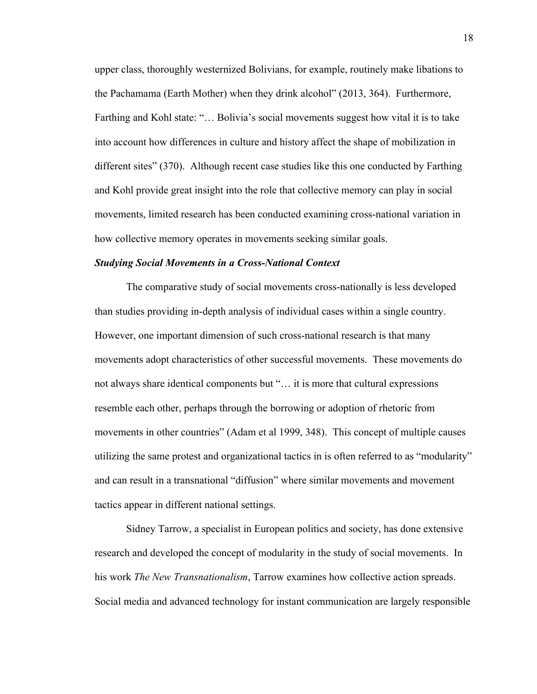upper class, thoroughly westernized Bolivians, for example, routinely make libations to the Pachamama (Earth Mother) when they drink alcohol" (2013, 364). Furthermore, Farthing and Kohl state: "… Bolivia's social movements suggest how vital it is to take into account how differences in culture and history affect the shape of mobilization in different sites" (370). Although recent case studies like this one conducted by Farthing and Kohl provide great insight into the role that collective memory can play in social movements, limited research has been conducted examining cross-national variation in how collective memory operates in movements seeking similar goals.

#### *Studying Social Movements in a Cross-National Context*

The comparative study of social movements cross-nationally is less developed than studies providing in-depth analysis of individual cases within a single country. However, one important dimension of such cross-national research is that many movements adopt characteristics of other successful movements. These movements do not always share identical components but "… it is more that cultural expressions resemble each other, perhaps through the borrowing or adoption of rhetoric from movements in other countries" (Adam et al 1999, 348). This concept of multiple causes utilizing the same protest and organizational tactics in is often referred to as "modularity" and can result in a transnational "diffusion" where similar movements and movement tactics appear in different national settings.

Sidney Tarrow, a specialist in European politics and society, has done extensive research and developed the concept of modularity in the study of social movements. In his work *The New Transnationalism*, Tarrow examines how collective action spreads. Social media and advanced technology for instant communication are largely responsible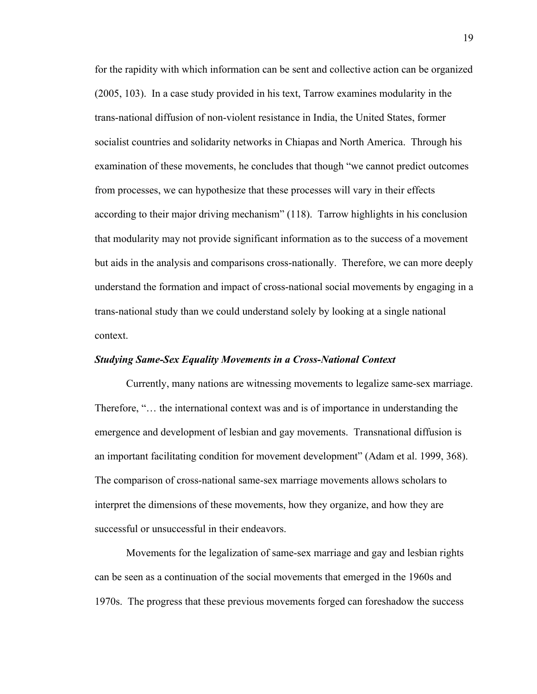for the rapidity with which information can be sent and collective action can be organized (2005, 103). In a case study provided in his text, Tarrow examines modularity in the trans-national diffusion of non-violent resistance in India, the United States, former socialist countries and solidarity networks in Chiapas and North America. Through his examination of these movements, he concludes that though "we cannot predict outcomes from processes, we can hypothesize that these processes will vary in their effects according to their major driving mechanism" (118). Tarrow highlights in his conclusion that modularity may not provide significant information as to the success of a movement but aids in the analysis and comparisons cross-nationally. Therefore, we can more deeply understand the formation and impact of cross-national social movements by engaging in a trans-national study than we could understand solely by looking at a single national context.

#### *Studying Same-Sex Equality Movements in a Cross-National Context*

Currently, many nations are witnessing movements to legalize same-sex marriage. Therefore, "… the international context was and is of importance in understanding the emergence and development of lesbian and gay movements. Transnational diffusion is an important facilitating condition for movement development" (Adam et al. 1999, 368). The comparison of cross-national same-sex marriage movements allows scholars to interpret the dimensions of these movements, how they organize, and how they are successful or unsuccessful in their endeavors.

Movements for the legalization of same-sex marriage and gay and lesbian rights can be seen as a continuation of the social movements that emerged in the 1960s and 1970s. The progress that these previous movements forged can foreshadow the success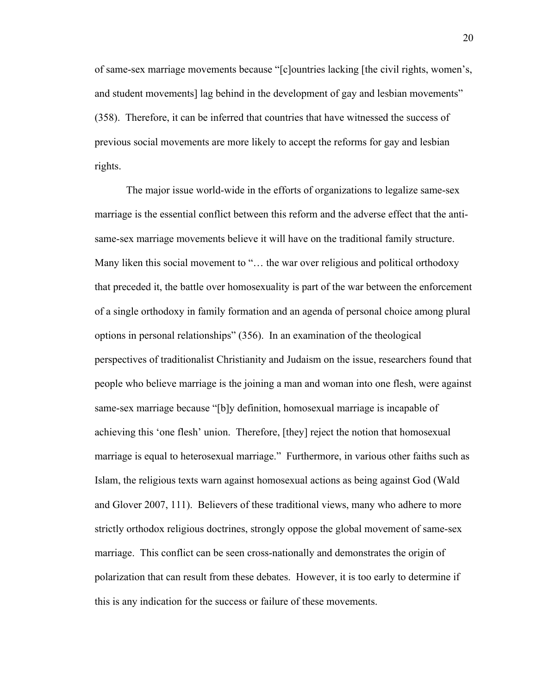of same-sex marriage movements because "[c]ountries lacking [the civil rights, women's, and student movements] lag behind in the development of gay and lesbian movements" (358). Therefore, it can be inferred that countries that have witnessed the success of previous social movements are more likely to accept the reforms for gay and lesbian rights.

The major issue world-wide in the efforts of organizations to legalize same-sex marriage is the essential conflict between this reform and the adverse effect that the antisame-sex marriage movements believe it will have on the traditional family structure. Many liken this social movement to "... the war over religious and political orthodoxy that preceded it, the battle over homosexuality is part of the war between the enforcement of a single orthodoxy in family formation and an agenda of personal choice among plural options in personal relationships" (356). In an examination of the theological perspectives of traditionalist Christianity and Judaism on the issue, researchers found that people who believe marriage is the joining a man and woman into one flesh, were against same-sex marriage because "[b]y definition, homosexual marriage is incapable of achieving this 'one flesh' union. Therefore, [they] reject the notion that homosexual marriage is equal to heterosexual marriage." Furthermore, in various other faiths such as Islam, the religious texts warn against homosexual actions as being against God (Wald and Glover 2007, 111). Believers of these traditional views, many who adhere to more strictly orthodox religious doctrines, strongly oppose the global movement of same-sex marriage. This conflict can be seen cross-nationally and demonstrates the origin of polarization that can result from these debates. However, it is too early to determine if this is any indication for the success or failure of these movements.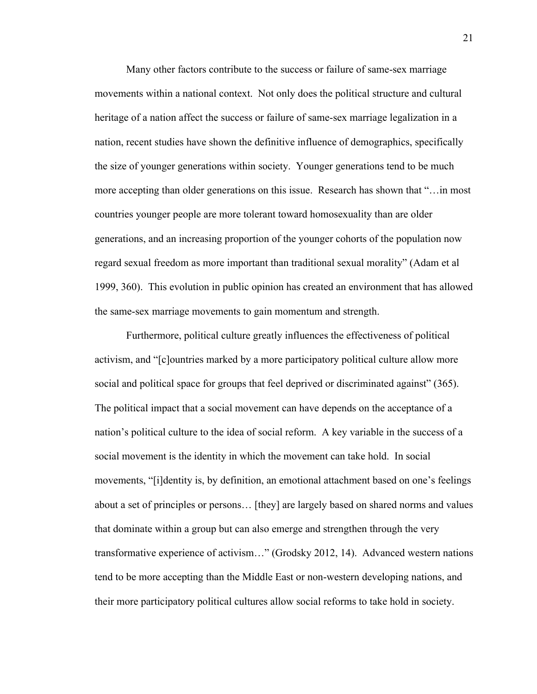Many other factors contribute to the success or failure of same-sex marriage movements within a national context. Not only does the political structure and cultural heritage of a nation affect the success or failure of same-sex marriage legalization in a nation, recent studies have shown the definitive influence of demographics, specifically the size of younger generations within society. Younger generations tend to be much more accepting than older generations on this issue. Research has shown that "…in most countries younger people are more tolerant toward homosexuality than are older generations, and an increasing proportion of the younger cohorts of the population now regard sexual freedom as more important than traditional sexual morality" (Adam et al 1999, 360). This evolution in public opinion has created an environment that has allowed the same-sex marriage movements to gain momentum and strength.

Furthermore, political culture greatly influences the effectiveness of political activism, and "[c]ountries marked by a more participatory political culture allow more social and political space for groups that feel deprived or discriminated against" (365). The political impact that a social movement can have depends on the acceptance of a nation's political culture to the idea of social reform. A key variable in the success of a social movement is the identity in which the movement can take hold. In social movements, "[i]dentity is, by definition, an emotional attachment based on one's feelings about a set of principles or persons… [they] are largely based on shared norms and values that dominate within a group but can also emerge and strengthen through the very transformative experience of activism…" (Grodsky 2012, 14). Advanced western nations tend to be more accepting than the Middle East or non-western developing nations, and their more participatory political cultures allow social reforms to take hold in society.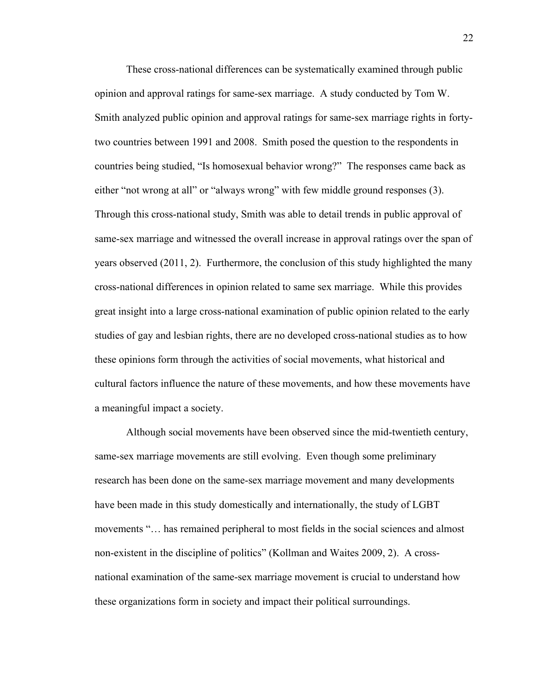These cross-national differences can be systematically examined through public opinion and approval ratings for same-sex marriage. A study conducted by Tom W. Smith analyzed public opinion and approval ratings for same-sex marriage rights in fortytwo countries between 1991 and 2008. Smith posed the question to the respondents in countries being studied, "Is homosexual behavior wrong?" The responses came back as either "not wrong at all" or "always wrong" with few middle ground responses (3). Through this cross-national study, Smith was able to detail trends in public approval of same-sex marriage and witnessed the overall increase in approval ratings over the span of years observed (2011, 2). Furthermore, the conclusion of this study highlighted the many cross-national differences in opinion related to same sex marriage. While this provides great insight into a large cross-national examination of public opinion related to the early studies of gay and lesbian rights, there are no developed cross-national studies as to how these opinions form through the activities of social movements, what historical and cultural factors influence the nature of these movements, and how these movements have a meaningful impact a society.

Although social movements have been observed since the mid-twentieth century, same-sex marriage movements are still evolving. Even though some preliminary research has been done on the same-sex marriage movement and many developments have been made in this study domestically and internationally, the study of LGBT movements "… has remained peripheral to most fields in the social sciences and almost non-existent in the discipline of politics" (Kollman and Waites 2009, 2). A crossnational examination of the same-sex marriage movement is crucial to understand how these organizations form in society and impact their political surroundings.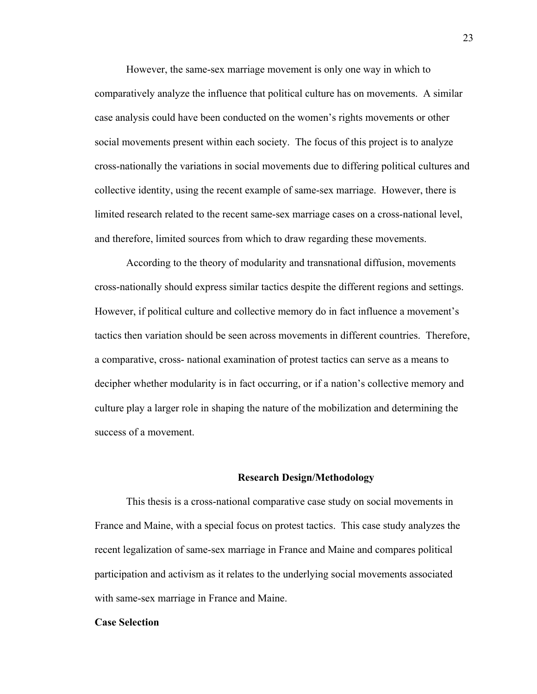However, the same-sex marriage movement is only one way in which to comparatively analyze the influence that political culture has on movements. A similar case analysis could have been conducted on the women's rights movements or other social movements present within each society. The focus of this project is to analyze cross-nationally the variations in social movements due to differing political cultures and collective identity, using the recent example of same-sex marriage. However, there is limited research related to the recent same-sex marriage cases on a cross-national level, and therefore, limited sources from which to draw regarding these movements.

According to the theory of modularity and transnational diffusion, movements cross-nationally should express similar tactics despite the different regions and settings. However, if political culture and collective memory do in fact influence a movement's tactics then variation should be seen across movements in different countries. Therefore, a comparative, cross- national examination of protest tactics can serve as a means to decipher whether modularity is in fact occurring, or if a nation's collective memory and culture play a larger role in shaping the nature of the mobilization and determining the success of a movement.

#### **Research Design/Methodology**

This thesis is a cross-national comparative case study on social movements in France and Maine, with a special focus on protest tactics. This case study analyzes the recent legalization of same-sex marriage in France and Maine and compares political participation and activism as it relates to the underlying social movements associated with same-sex marriage in France and Maine.

#### **Case Selection**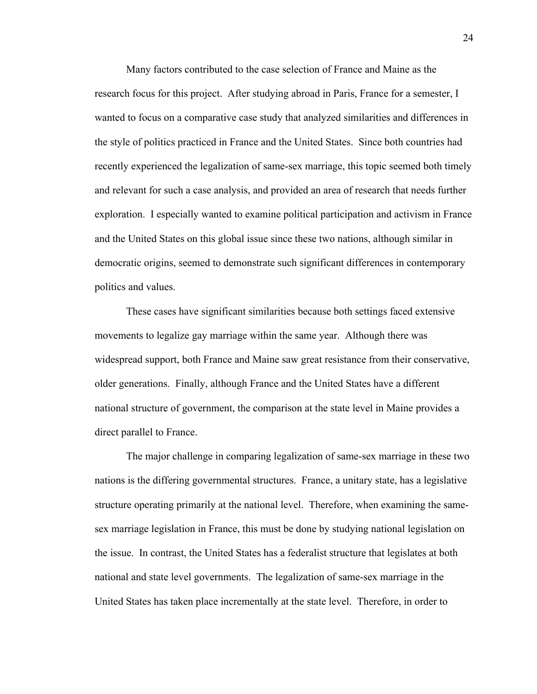Many factors contributed to the case selection of France and Maine as the research focus for this project. After studying abroad in Paris, France for a semester, I wanted to focus on a comparative case study that analyzed similarities and differences in the style of politics practiced in France and the United States. Since both countries had recently experienced the legalization of same-sex marriage, this topic seemed both timely and relevant for such a case analysis, and provided an area of research that needs further exploration. I especially wanted to examine political participation and activism in France and the United States on this global issue since these two nations, although similar in democratic origins, seemed to demonstrate such significant differences in contemporary politics and values.

These cases have significant similarities because both settings faced extensive movements to legalize gay marriage within the same year. Although there was widespread support, both France and Maine saw great resistance from their conservative, older generations. Finally, although France and the United States have a different national structure of government, the comparison at the state level in Maine provides a direct parallel to France.

The major challenge in comparing legalization of same-sex marriage in these two nations is the differing governmental structures. France, a unitary state, has a legislative structure operating primarily at the national level. Therefore, when examining the samesex marriage legislation in France, this must be done by studying national legislation on the issue. In contrast, the United States has a federalist structure that legislates at both national and state level governments. The legalization of same-sex marriage in the United States has taken place incrementally at the state level. Therefore, in order to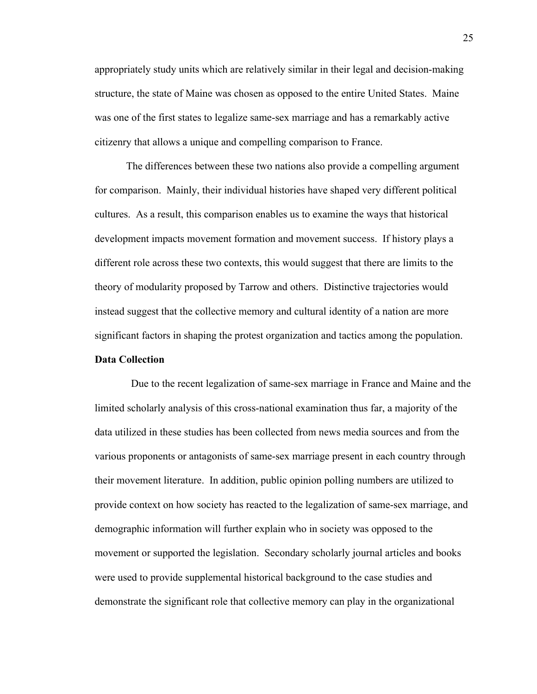appropriately study units which are relatively similar in their legal and decision-making structure, the state of Maine was chosen as opposed to the entire United States. Maine was one of the first states to legalize same-sex marriage and has a remarkably active citizenry that allows a unique and compelling comparison to France.

The differences between these two nations also provide a compelling argument for comparison. Mainly, their individual histories have shaped very different political cultures. As a result, this comparison enables us to examine the ways that historical development impacts movement formation and movement success. If history plays a different role across these two contexts, this would suggest that there are limits to the theory of modularity proposed by Tarrow and others. Distinctive trajectories would instead suggest that the collective memory and cultural identity of a nation are more significant factors in shaping the protest organization and tactics among the population.

#### **Data Collection**

 Due to the recent legalization of same-sex marriage in France and Maine and the limited scholarly analysis of this cross-national examination thus far, a majority of the data utilized in these studies has been collected from news media sources and from the various proponents or antagonists of same-sex marriage present in each country through their movement literature. In addition, public opinion polling numbers are utilized to provide context on how society has reacted to the legalization of same-sex marriage, and demographic information will further explain who in society was opposed to the movement or supported the legislation. Secondary scholarly journal articles and books were used to provide supplemental historical background to the case studies and demonstrate the significant role that collective memory can play in the organizational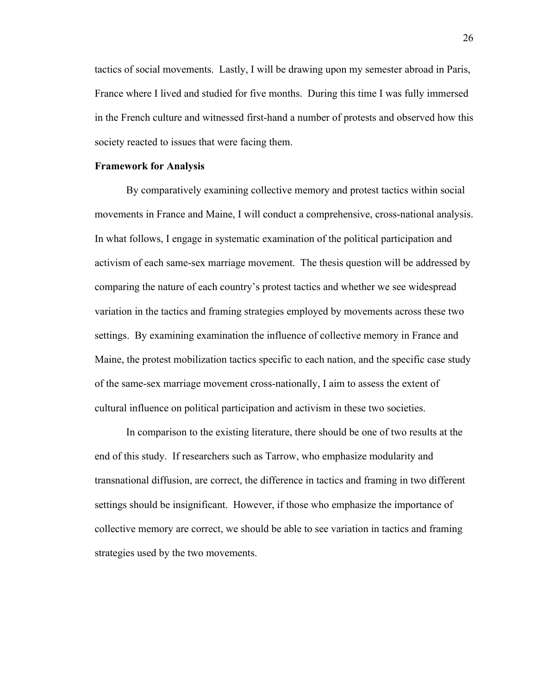tactics of social movements. Lastly, I will be drawing upon my semester abroad in Paris, France where I lived and studied for five months. During this time I was fully immersed in the French culture and witnessed first-hand a number of protests and observed how this society reacted to issues that were facing them.

#### **Framework for Analysis**

By comparatively examining collective memory and protest tactics within social movements in France and Maine, I will conduct a comprehensive, cross-national analysis. In what follows, I engage in systematic examination of the political participation and activism of each same-sex marriage movement. The thesis question will be addressed by comparing the nature of each country's protest tactics and whether we see widespread variation in the tactics and framing strategies employed by movements across these two settings. By examining examination the influence of collective memory in France and Maine, the protest mobilization tactics specific to each nation, and the specific case study of the same-sex marriage movement cross-nationally, I aim to assess the extent of cultural influence on political participation and activism in these two societies.

In comparison to the existing literature, there should be one of two results at the end of this study. If researchers such as Tarrow, who emphasize modularity and transnational diffusion, are correct, the difference in tactics and framing in two different settings should be insignificant. However, if those who emphasize the importance of collective memory are correct, we should be able to see variation in tactics and framing strategies used by the two movements.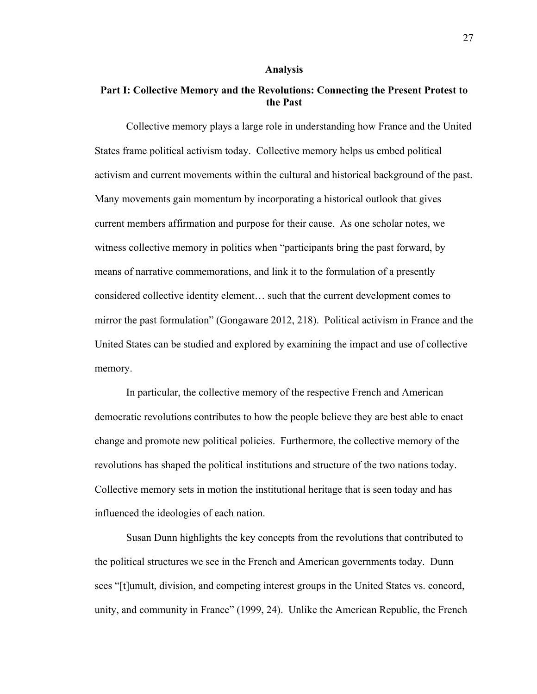#### **Analysis**

#### **Part I: Collective Memory and the Revolutions: Connecting the Present Protest to the Past**

Collective memory plays a large role in understanding how France and the United States frame political activism today. Collective memory helps us embed political activism and current movements within the cultural and historical background of the past. Many movements gain momentum by incorporating a historical outlook that gives current members affirmation and purpose for their cause. As one scholar notes, we witness collective memory in politics when "participants bring the past forward, by means of narrative commemorations, and link it to the formulation of a presently considered collective identity element… such that the current development comes to mirror the past formulation" (Gongaware 2012, 218). Political activism in France and the United States can be studied and explored by examining the impact and use of collective memory.

In particular, the collective memory of the respective French and American democratic revolutions contributes to how the people believe they are best able to enact change and promote new political policies. Furthermore, the collective memory of the revolutions has shaped the political institutions and structure of the two nations today. Collective memory sets in motion the institutional heritage that is seen today and has influenced the ideologies of each nation.

Susan Dunn highlights the key concepts from the revolutions that contributed to the political structures we see in the French and American governments today. Dunn sees "[t]umult, division, and competing interest groups in the United States vs. concord, unity, and community in France" (1999, 24). Unlike the American Republic, the French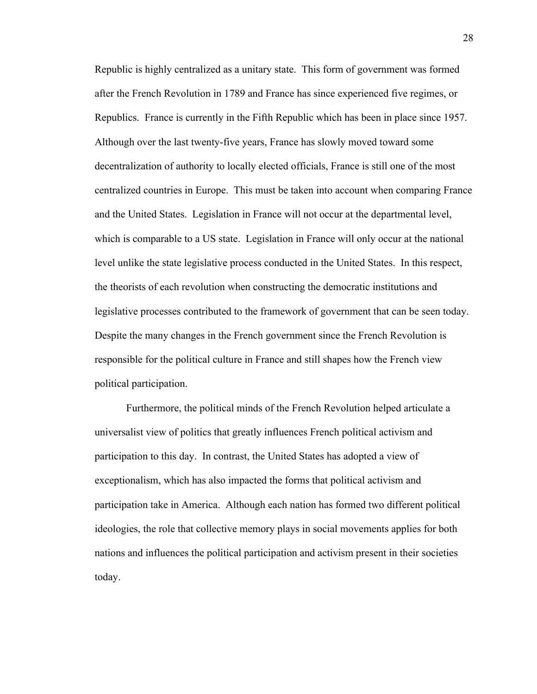Republic is highly centralized as a unitary state. This form of government was formed after the French Revolution in 1789 and France has since experienced five regimes, or Republics. France is currently in the Fifth Republic which has been in place since 1957. Although over the last twenty-five years, France has slowly moved toward some decentralization of authority to locally elected officials, France is still one of the most centralized countries in Europe. This must be taken into account when comparing France and the United States. Legislation in France will not occur at the departmental level, which is comparable to a US state. Legislation in France will only occur at the national level unlike the state legislative process conducted in the United States. In this respect, the theorists of each revolution when constructing the democratic institutions and legislative processes contributed to the framework of government that can be seen today. Despite the many changes in the French government since the French Revolution is responsible for the political culture in France and still shapes how the French view political participation.

Furthermore, the political minds of the French Revolution helped articulate a universalist view of politics that greatly influences French political activism and participation to this day. In contrast, the United States has adopted a view of exceptionalism, which has also impacted the forms that political activism and participation take in America. Although each nation has formed two different political ideologies, the role that collective memory plays in social movements applies for both nations and influences the political participation and activism present in their societies today.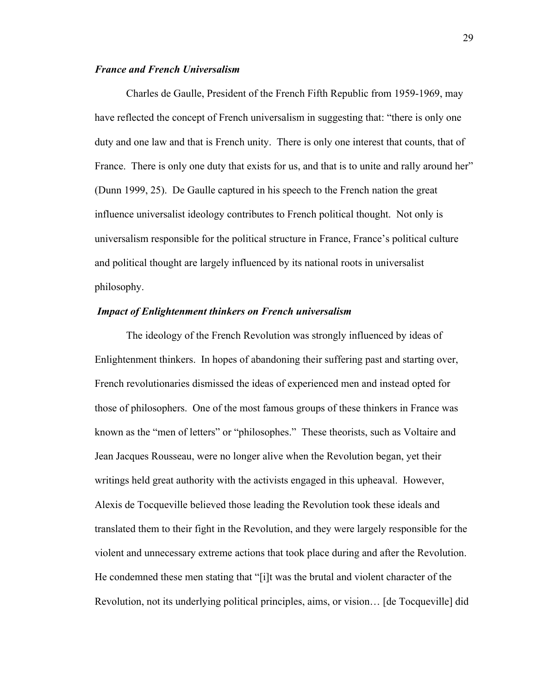#### *France and French Universalism*

Charles de Gaulle, President of the French Fifth Republic from 1959-1969, may have reflected the concept of French universalism in suggesting that: "there is only one duty and one law and that is French unity. There is only one interest that counts, that of France. There is only one duty that exists for us, and that is to unite and rally around her" (Dunn 1999, 25). De Gaulle captured in his speech to the French nation the great influence universalist ideology contributes to French political thought. Not only is universalism responsible for the political structure in France, France's political culture and political thought are largely influenced by its national roots in universalist philosophy.

#### *Impact of Enlightenment thinkers on French universalism*

The ideology of the French Revolution was strongly influenced by ideas of Enlightenment thinkers. In hopes of abandoning their suffering past and starting over, French revolutionaries dismissed the ideas of experienced men and instead opted for those of philosophers. One of the most famous groups of these thinkers in France was known as the "men of letters" or "philosophes." These theorists, such as Voltaire and Jean Jacques Rousseau, were no longer alive when the Revolution began, yet their writings held great authority with the activists engaged in this upheaval. However, Alexis de Tocqueville believed those leading the Revolution took these ideals and translated them to their fight in the Revolution, and they were largely responsible for the violent and unnecessary extreme actions that took place during and after the Revolution. He condemned these men stating that "[i]t was the brutal and violent character of the Revolution, not its underlying political principles, aims, or vision… [de Tocqueville] did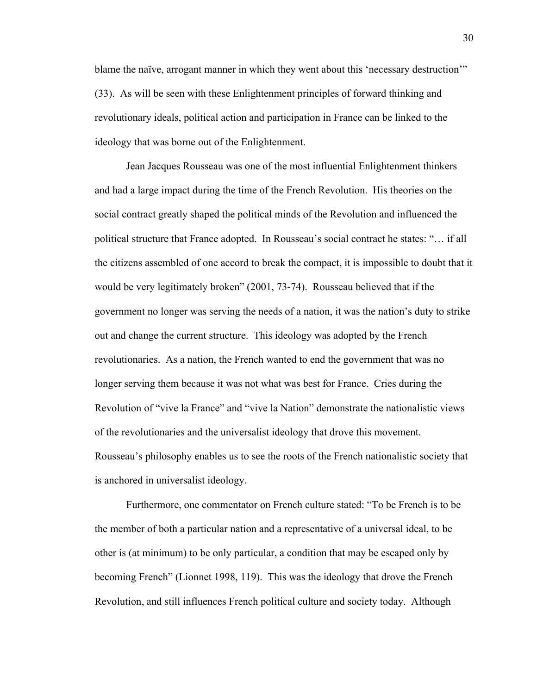blame the naïve, arrogant manner in which they went about this 'necessary destruction'" (33). As will be seen with these Enlightenment principles of forward thinking and revolutionary ideals, political action and participation in France can be linked to the ideology that was borne out of the Enlightenment.

Jean Jacques Rousseau was one of the most influential Enlightenment thinkers and had a large impact during the time of the French Revolution. His theories on the social contract greatly shaped the political minds of the Revolution and influenced the political structure that France adopted. In Rousseau's social contract he states: "… if all the citizens assembled of one accord to break the compact, it is impossible to doubt that it would be very legitimately broken" (2001, 73-74). Rousseau believed that if the government no longer was serving the needs of a nation, it was the nation's duty to strike out and change the current structure. This ideology was adopted by the French revolutionaries. As a nation, the French wanted to end the government that was no longer serving them because it was not what was best for France. Cries during the Revolution of "vive la France" and "vive la Nation" demonstrate the nationalistic views of the revolutionaries and the universalist ideology that drove this movement. Rousseau's philosophy enables us to see the roots of the French nationalistic society that is anchored in universalist ideology.

Furthermore, one commentator on French culture stated: "To be French is to be the member of both a particular nation and a representative of a universal ideal, to be other is (at minimum) to be only particular, a condition that may be escaped only by becoming French" (Lionnet 1998, 119). This was the ideology that drove the French Revolution, and still influences French political culture and society today. Although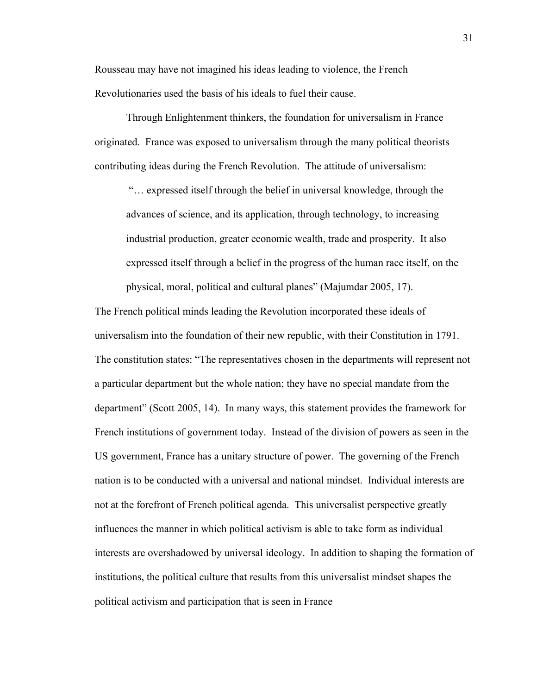Rousseau may have not imagined his ideas leading to violence, the French Revolutionaries used the basis of his ideals to fuel their cause.

Through Enlightenment thinkers, the foundation for universalism in France originated. France was exposed to universalism through the many political theorists contributing ideas during the French Revolution. The attitude of universalism:

"… expressed itself through the belief in universal knowledge, through the advances of science, and its application, through technology, to increasing industrial production, greater economic wealth, trade and prosperity. It also expressed itself through a belief in the progress of the human race itself, on the physical, moral, political and cultural planes" (Majumdar 2005, 17).

The French political minds leading the Revolution incorporated these ideals of universalism into the foundation of their new republic, with their Constitution in 1791. The constitution states: "The representatives chosen in the departments will represent not a particular department but the whole nation; they have no special mandate from the department" (Scott 2005, 14). In many ways, this statement provides the framework for French institutions of government today. Instead of the division of powers as seen in the US government, France has a unitary structure of power. The governing of the French nation is to be conducted with a universal and national mindset. Individual interests are not at the forefront of French political agenda. This universalist perspective greatly influences the manner in which political activism is able to take form as individual interests are overshadowed by universal ideology. In addition to shaping the formation of institutions, the political culture that results from this universalist mindset shapes the political activism and participation that is seen in France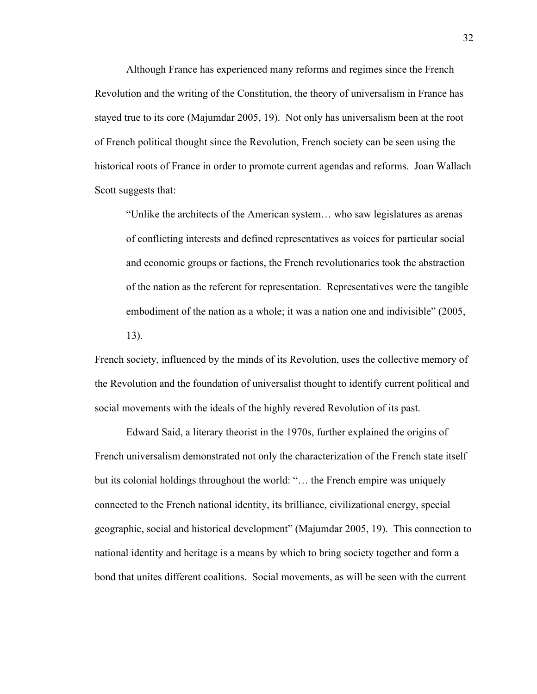Although France has experienced many reforms and regimes since the French Revolution and the writing of the Constitution, the theory of universalism in France has stayed true to its core (Majumdar 2005, 19). Not only has universalism been at the root of French political thought since the Revolution, French society can be seen using the historical roots of France in order to promote current agendas and reforms. Joan Wallach Scott suggests that:

"Unlike the architects of the American system… who saw legislatures as arenas of conflicting interests and defined representatives as voices for particular social and economic groups or factions, the French revolutionaries took the abstraction of the nation as the referent for representation. Representatives were the tangible embodiment of the nation as a whole; it was a nation one and indivisible" (2005, 13).

French society, influenced by the minds of its Revolution, uses the collective memory of the Revolution and the foundation of universalist thought to identify current political and social movements with the ideals of the highly revered Revolution of its past.

Edward Said, a literary theorist in the 1970s, further explained the origins of French universalism demonstrated not only the characterization of the French state itself but its colonial holdings throughout the world: "… the French empire was uniquely connected to the French national identity, its brilliance, civilizational energy, special geographic, social and historical development" (Majumdar 2005, 19). This connection to national identity and heritage is a means by which to bring society together and form a bond that unites different coalitions. Social movements, as will be seen with the current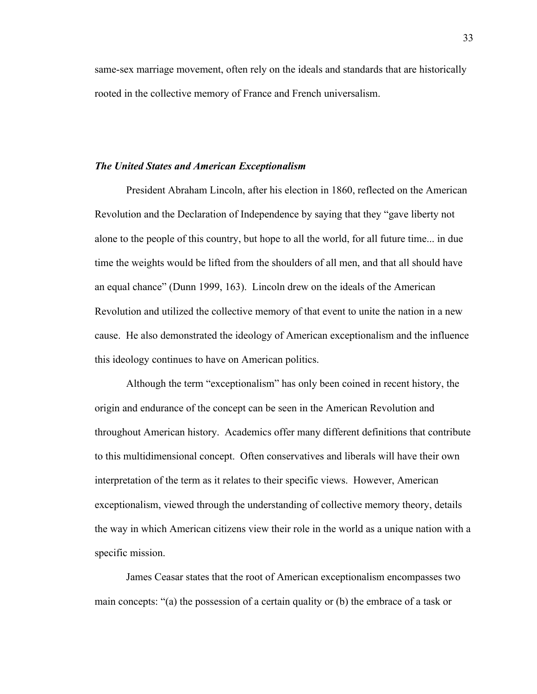same-sex marriage movement, often rely on the ideals and standards that are historically rooted in the collective memory of France and French universalism.

#### *The United States and American Exceptionalism*

President Abraham Lincoln, after his election in 1860, reflected on the American Revolution and the Declaration of Independence by saying that they "gave liberty not alone to the people of this country, but hope to all the world, for all future time... in due time the weights would be lifted from the shoulders of all men, and that all should have an equal chance" (Dunn 1999, 163). Lincoln drew on the ideals of the American Revolution and utilized the collective memory of that event to unite the nation in a new cause. He also demonstrated the ideology of American exceptionalism and the influence this ideology continues to have on American politics.

Although the term "exceptionalism" has only been coined in recent history, the origin and endurance of the concept can be seen in the American Revolution and throughout American history. Academics offer many different definitions that contribute to this multidimensional concept. Often conservatives and liberals will have their own interpretation of the term as it relates to their specific views. However, American exceptionalism, viewed through the understanding of collective memory theory, details the way in which American citizens view their role in the world as a unique nation with a specific mission.

James Ceasar states that the root of American exceptionalism encompasses two main concepts: "(a) the possession of a certain quality or (b) the embrace of a task or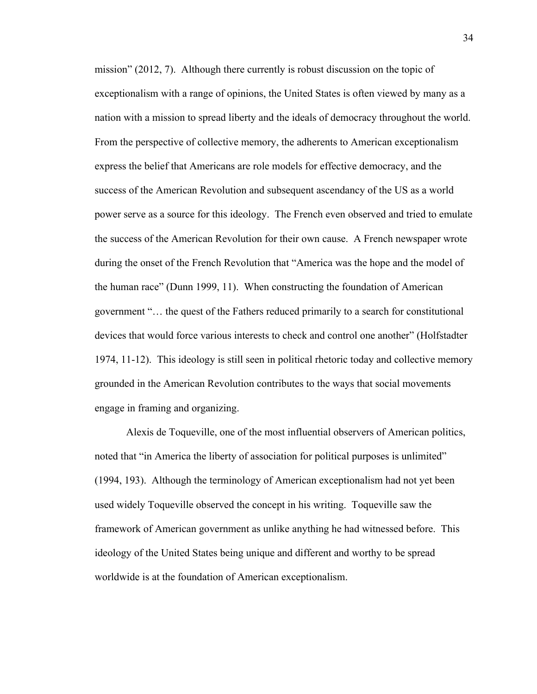mission" (2012, 7). Although there currently is robust discussion on the topic of exceptionalism with a range of opinions, the United States is often viewed by many as a nation with a mission to spread liberty and the ideals of democracy throughout the world. From the perspective of collective memory, the adherents to American exceptionalism express the belief that Americans are role models for effective democracy, and the success of the American Revolution and subsequent ascendancy of the US as a world power serve as a source for this ideology. The French even observed and tried to emulate the success of the American Revolution for their own cause. A French newspaper wrote during the onset of the French Revolution that "America was the hope and the model of the human race" (Dunn 1999, 11). When constructing the foundation of American government "… the quest of the Fathers reduced primarily to a search for constitutional devices that would force various interests to check and control one another" (Holfstadter 1974, 11-12). This ideology is still seen in political rhetoric today and collective memory grounded in the American Revolution contributes to the ways that social movements engage in framing and organizing.

Alexis de Toqueville, one of the most influential observers of American politics, noted that "in America the liberty of association for political purposes is unlimited" (1994, 193). Although the terminology of American exceptionalism had not yet been used widely Toqueville observed the concept in his writing. Toqueville saw the framework of American government as unlike anything he had witnessed before. This ideology of the United States being unique and different and worthy to be spread worldwide is at the foundation of American exceptionalism.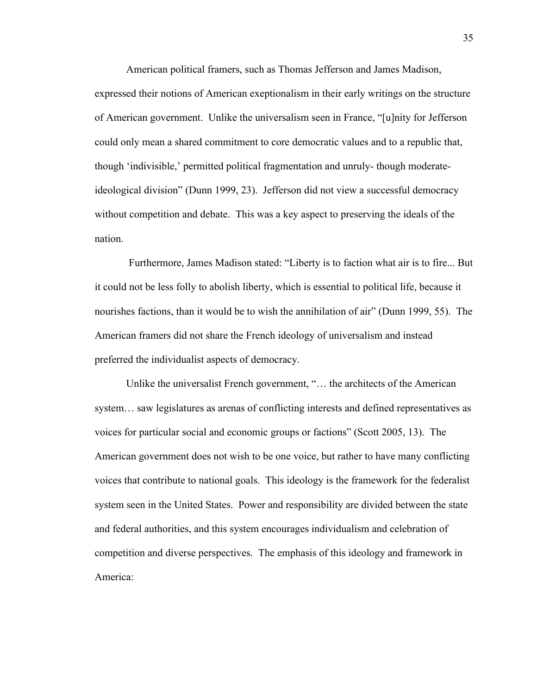American political framers, such as Thomas Jefferson and James Madison, expressed their notions of American exeptionalism in their early writings on the structure of American government. Unlike the universalism seen in France, "[u]nity for Jefferson could only mean a shared commitment to core democratic values and to a republic that, though 'indivisible,' permitted political fragmentation and unruly- though moderateideological division" (Dunn 1999, 23). Jefferson did not view a successful democracy without competition and debate. This was a key aspect to preserving the ideals of the nation.

Furthermore, James Madison stated: "Liberty is to faction what air is to fire... But it could not be less folly to abolish liberty, which is essential to political life, because it nourishes factions, than it would be to wish the annihilation of air" (Dunn 1999, 55). The American framers did not share the French ideology of universalism and instead preferred the individualist aspects of democracy.

Unlike the universalist French government, "… the architects of the American system… saw legislatures as arenas of conflicting interests and defined representatives as voices for particular social and economic groups or factions" (Scott 2005, 13). The American government does not wish to be one voice, but rather to have many conflicting voices that contribute to national goals. This ideology is the framework for the federalist system seen in the United States. Power and responsibility are divided between the state and federal authorities, and this system encourages individualism and celebration of competition and diverse perspectives. The emphasis of this ideology and framework in America: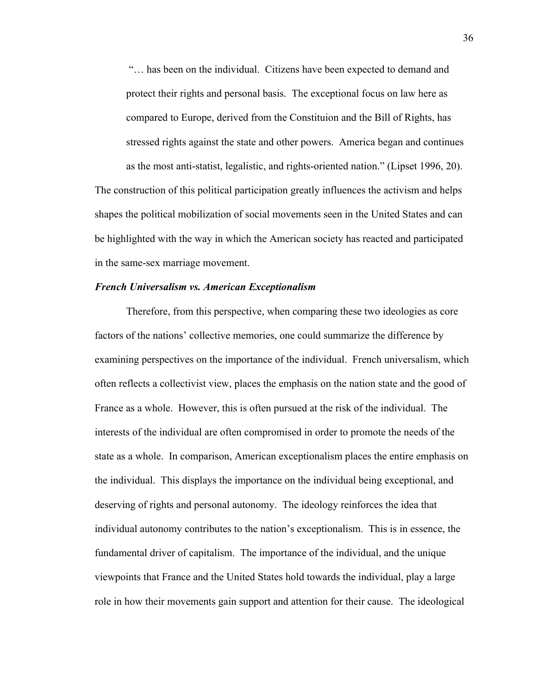"… has been on the individual. Citizens have been expected to demand and protect their rights and personal basis. The exceptional focus on law here as compared to Europe, derived from the Constituion and the Bill of Rights, has stressed rights against the state and other powers. America began and continues as the most anti-statist, legalistic, and rights-oriented nation." (Lipset 1996, 20).

The construction of this political participation greatly influences the activism and helps shapes the political mobilization of social movements seen in the United States and can be highlighted with the way in which the American society has reacted and participated in the same-sex marriage movement.

## *French Universalism vs. American Exceptionalism*

Therefore, from this perspective, when comparing these two ideologies as core factors of the nations' collective memories, one could summarize the difference by examining perspectives on the importance of the individual. French universalism, which often reflects a collectivist view, places the emphasis on the nation state and the good of France as a whole. However, this is often pursued at the risk of the individual. The interests of the individual are often compromised in order to promote the needs of the state as a whole. In comparison, American exceptionalism places the entire emphasis on the individual. This displays the importance on the individual being exceptional, and deserving of rights and personal autonomy. The ideology reinforces the idea that individual autonomy contributes to the nation's exceptionalism. This is in essence, the fundamental driver of capitalism. The importance of the individual, and the unique viewpoints that France and the United States hold towards the individual, play a large role in how their movements gain support and attention for their cause. The ideological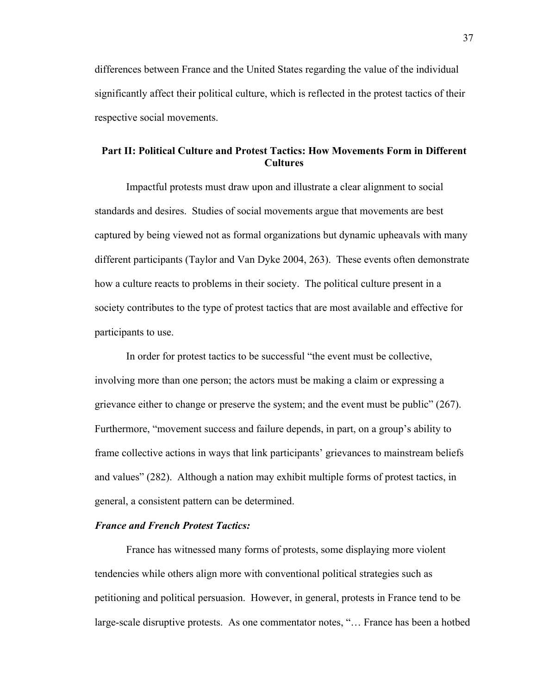differences between France and the United States regarding the value of the individual significantly affect their political culture, which is reflected in the protest tactics of their respective social movements.

# **Part II: Political Culture and Protest Tactics: How Movements Form in Different Cultures**

Impactful protests must draw upon and illustrate a clear alignment to social standards and desires. Studies of social movements argue that movements are best captured by being viewed not as formal organizations but dynamic upheavals with many different participants (Taylor and Van Dyke 2004, 263). These events often demonstrate how a culture reacts to problems in their society. The political culture present in a society contributes to the type of protest tactics that are most available and effective for participants to use.

In order for protest tactics to be successful "the event must be collective, involving more than one person; the actors must be making a claim or expressing a grievance either to change or preserve the system; and the event must be public" (267). Furthermore, "movement success and failure depends, in part, on a group's ability to frame collective actions in ways that link participants' grievances to mainstream beliefs and values" (282). Although a nation may exhibit multiple forms of protest tactics, in general, a consistent pattern can be determined.

# *France and French Protest Tactics:*

France has witnessed many forms of protests, some displaying more violent tendencies while others align more with conventional political strategies such as petitioning and political persuasion. However, in general, protests in France tend to be large-scale disruptive protests. As one commentator notes, "… France has been a hotbed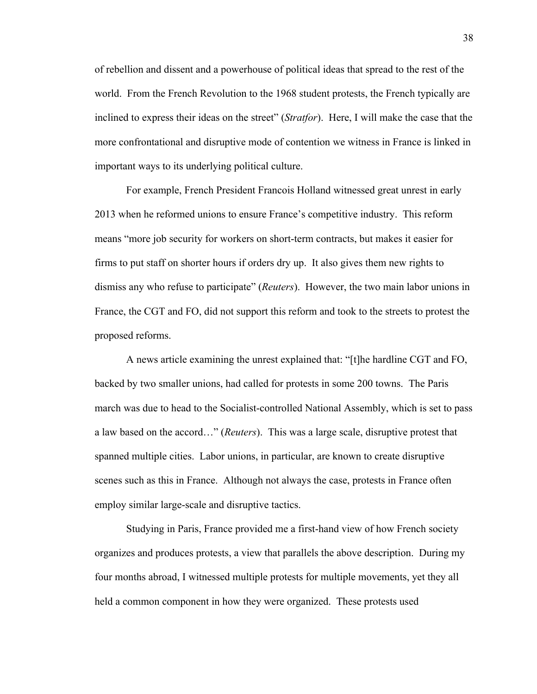of rebellion and dissent and a powerhouse of political ideas that spread to the rest of the world. From the French Revolution to the 1968 student protests, the French typically are inclined to express their ideas on the street" (*Stratfor*). Here, I will make the case that the more confrontational and disruptive mode of contention we witness in France is linked in important ways to its underlying political culture.

For example, French President Francois Holland witnessed great unrest in early 2013 when he reformed unions to ensure France's competitive industry. This reform means "more job security for workers on short-term contracts, but makes it easier for firms to put staff on shorter hours if orders dry up. It also gives them new rights to dismiss any who refuse to participate" (*Reuters*). However, the two main labor unions in France, the CGT and FO, did not support this reform and took to the streets to protest the proposed reforms.

A news article examining the unrest explained that: "[t]he hardline CGT and FO, backed by two smaller unions, had called for protests in some 200 towns. The Paris march was due to head to the Socialist-controlled National Assembly, which is set to pass a law based on the accord…" (*Reuters*). This was a large scale, disruptive protest that spanned multiple cities. Labor unions, in particular, are known to create disruptive scenes such as this in France. Although not always the case, protests in France often employ similar large-scale and disruptive tactics.

Studying in Paris, France provided me a first-hand view of how French society organizes and produces protests, a view that parallels the above description. During my four months abroad, I witnessed multiple protests for multiple movements, yet they all held a common component in how they were organized. These protests used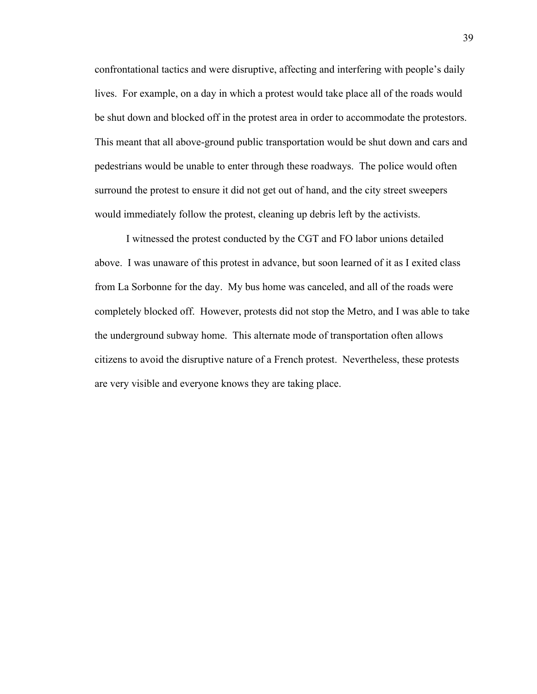confrontational tactics and were disruptive, affecting and interfering with people's daily lives. For example, on a day in which a protest would take place all of the roads would be shut down and blocked off in the protest area in order to accommodate the protestors. This meant that all above-ground public transportation would be shut down and cars and pedestrians would be unable to enter through these roadways. The police would often surround the protest to ensure it did not get out of hand, and the city street sweepers would immediately follow the protest, cleaning up debris left by the activists.

I witnessed the protest conducted by the CGT and FO labor unions detailed above. I was unaware of this protest in advance, but soon learned of it as I exited class from La Sorbonne for the day. My bus home was canceled, and all of the roads were completely blocked off. However, protests did not stop the Metro, and I was able to take the underground subway home. This alternate mode of transportation often allows citizens to avoid the disruptive nature of a French protest. Nevertheless, these protests are very visible and everyone knows they are taking place.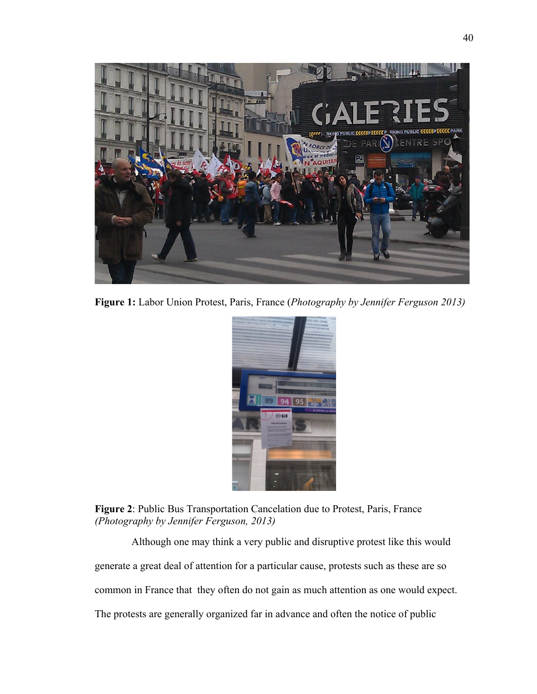

**Figure 1:** Labor Union Protest, Paris, France (*Photography by Jennifer Ferguson 2013)*



**Figure 2**: Public Bus Transportation Cancelation due to Protest, Paris, France *(Photography by Jennifer Ferguson, 2013)*

 Although one may think a very public and disruptive protest like this would generate a great deal of attention for a particular cause, protests such as these are so common in France that they often do not gain as much attention as one would expect. The protests are generally organized far in advance and often the notice of public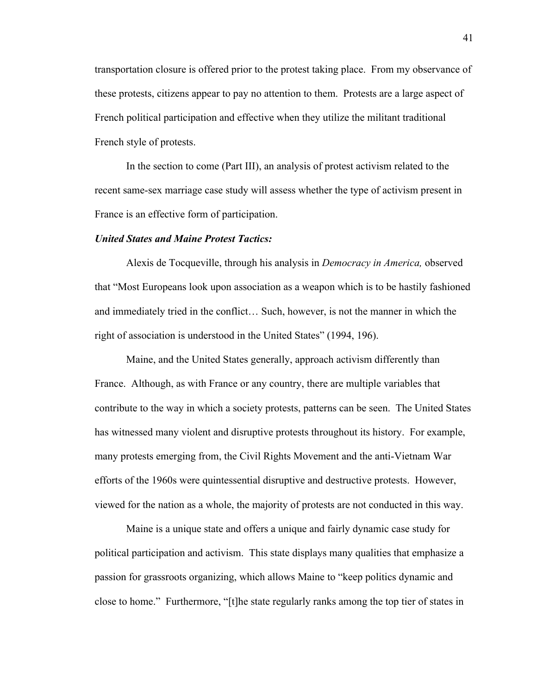transportation closure is offered prior to the protest taking place. From my observance of these protests, citizens appear to pay no attention to them. Protests are a large aspect of French political participation and effective when they utilize the militant traditional French style of protests.

In the section to come (Part III), an analysis of protest activism related to the recent same-sex marriage case study will assess whether the type of activism present in France is an effective form of participation.

### *United States and Maine Protest Tactics:*

Alexis de Tocqueville, through his analysis in *Democracy in America,* observed that "Most Europeans look upon association as a weapon which is to be hastily fashioned and immediately tried in the conflict… Such, however, is not the manner in which the right of association is understood in the United States" (1994, 196).

Maine, and the United States generally, approach activism differently than France. Although, as with France or any country, there are multiple variables that contribute to the way in which a society protests, patterns can be seen. The United States has witnessed many violent and disruptive protests throughout its history. For example, many protests emerging from, the Civil Rights Movement and the anti-Vietnam War efforts of the 1960s were quintessential disruptive and destructive protests. However, viewed for the nation as a whole, the majority of protests are not conducted in this way.

Maine is a unique state and offers a unique and fairly dynamic case study for political participation and activism. This state displays many qualities that emphasize a passion for grassroots organizing, which allows Maine to "keep politics dynamic and close to home." Furthermore, "[t]he state regularly ranks among the top tier of states in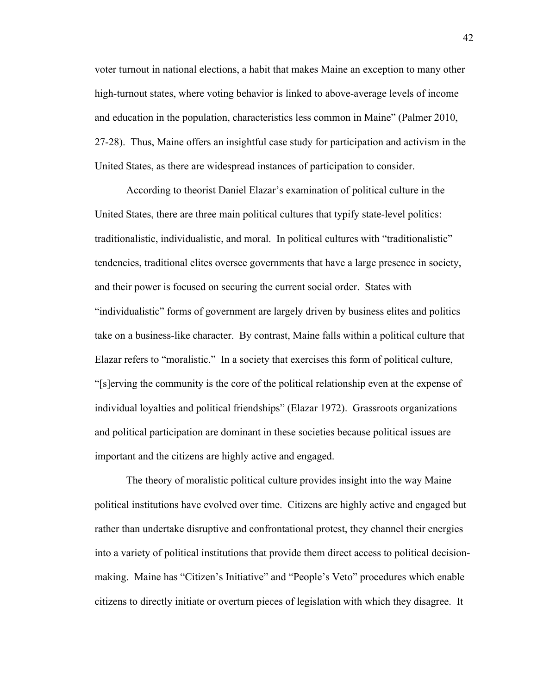voter turnout in national elections, a habit that makes Maine an exception to many other high-turnout states, where voting behavior is linked to above-average levels of income and education in the population, characteristics less common in Maine" (Palmer 2010, 27-28). Thus, Maine offers an insightful case study for participation and activism in the United States, as there are widespread instances of participation to consider.

According to theorist Daniel Elazar's examination of political culture in the United States, there are three main political cultures that typify state-level politics: traditionalistic, individualistic, and moral. In political cultures with "traditionalistic" tendencies, traditional elites oversee governments that have a large presence in society, and their power is focused on securing the current social order. States with "individualistic" forms of government are largely driven by business elites and politics take on a business-like character. By contrast, Maine falls within a political culture that Elazar refers to "moralistic." In a society that exercises this form of political culture, "[s]erving the community is the core of the political relationship even at the expense of individual loyalties and political friendships" (Elazar 1972). Grassroots organizations and political participation are dominant in these societies because political issues are important and the citizens are highly active and engaged.

The theory of moralistic political culture provides insight into the way Maine political institutions have evolved over time. Citizens are highly active and engaged but rather than undertake disruptive and confrontational protest, they channel their energies into a variety of political institutions that provide them direct access to political decisionmaking. Maine has "Citizen's Initiative" and "People's Veto" procedures which enable citizens to directly initiate or overturn pieces of legislation with which they disagree. It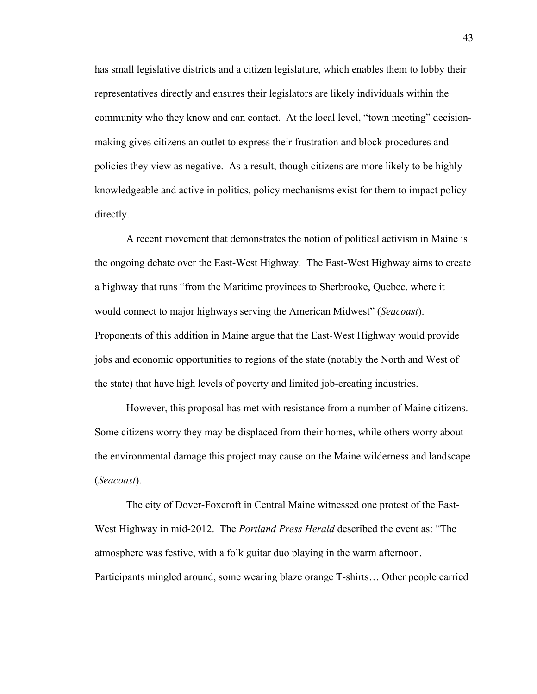has small legislative districts and a citizen legislature, which enables them to lobby their representatives directly and ensures their legislators are likely individuals within the community who they know and can contact. At the local level, "town meeting" decisionmaking gives citizens an outlet to express their frustration and block procedures and policies they view as negative. As a result, though citizens are more likely to be highly knowledgeable and active in politics, policy mechanisms exist for them to impact policy directly.

A recent movement that demonstrates the notion of political activism in Maine is the ongoing debate over the East-West Highway. The East-West Highway aims to create a highway that runs "from the Maritime provinces to Sherbrooke, Quebec, where it would connect to major highways serving the American Midwest" (*Seacoast*). Proponents of this addition in Maine argue that the East-West Highway would provide jobs and economic opportunities to regions of the state (notably the North and West of the state) that have high levels of poverty and limited job-creating industries.

However, this proposal has met with resistance from a number of Maine citizens. Some citizens worry they may be displaced from their homes, while others worry about the environmental damage this project may cause on the Maine wilderness and landscape (*Seacoast*).

The city of Dover-Foxcroft in Central Maine witnessed one protest of the East-West Highway in mid-2012. The *Portland Press Herald* described the event as: "The atmosphere was festive, with a folk guitar duo playing in the warm afternoon. Participants mingled around, some wearing blaze orange T-shirts… Other people carried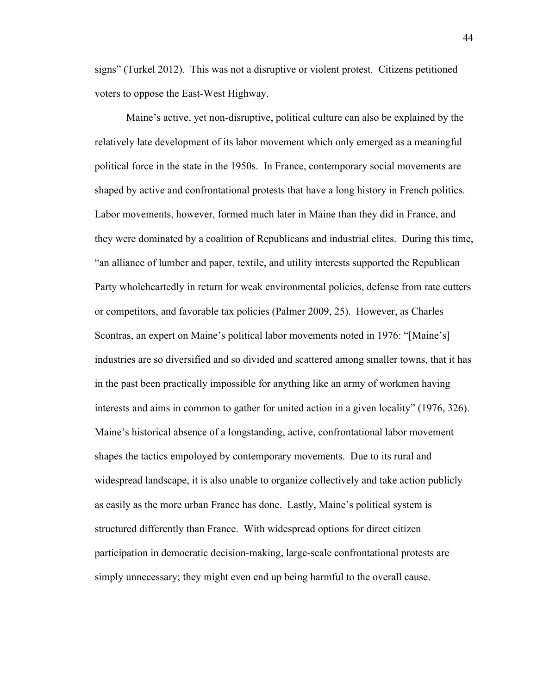signs" (Turkel 2012). This was not a disruptive or violent protest. Citizens petitioned voters to oppose the East-West Highway.

Maine's active, yet non-disruptive, political culture can also be explained by the relatively late development of its labor movement which only emerged as a meaningful political force in the state in the 1950s. In France, contemporary social movements are shaped by active and confrontational protests that have a long history in French politics. Labor movements, however, formed much later in Maine than they did in France, and they were dominated by a coalition of Republicans and industrial elites. During this time, "an alliance of lumber and paper, textile, and utility interests supported the Republican Party wholeheartedly in return for weak environmental policies, defense from rate cutters or competitors, and favorable tax policies (Palmer 2009, 25). However, as Charles Scontras, an expert on Maine's political labor movements noted in 1976: "[Maine's] industries are so diversified and so divided and scattered among smaller towns, that it has in the past been practically impossible for anything like an army of workmen having interests and aims in common to gather for united action in a given locality" (1976, 326). Maine's historical absence of a longstanding, active, confrontational labor movement shapes the tactics empoloyed by contemporary movements. Due to its rural and widespread landscape, it is also unable to organize collectively and take action publicly as easily as the more urban France has done. Lastly, Maine's political system is structured differently than France. With widespread options for direct citizen participation in democratic decision-making, large-scale confrontational protests are simply unnecessary; they might even end up being harmful to the overall cause.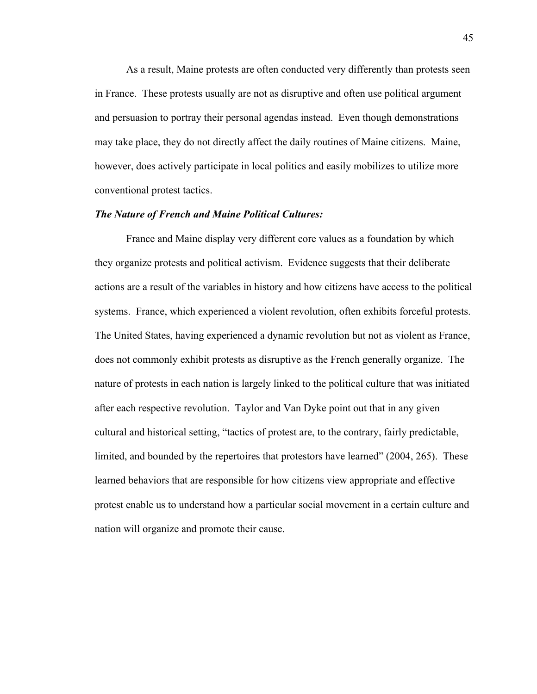As a result, Maine protests are often conducted very differently than protests seen in France. These protests usually are not as disruptive and often use political argument and persuasion to portray their personal agendas instead. Even though demonstrations may take place, they do not directly affect the daily routines of Maine citizens. Maine, however, does actively participate in local politics and easily mobilizes to utilize more conventional protest tactics.

## *The Nature of French and Maine Political Cultures:*

France and Maine display very different core values as a foundation by which they organize protests and political activism. Evidence suggests that their deliberate actions are a result of the variables in history and how citizens have access to the political systems. France, which experienced a violent revolution, often exhibits forceful protests. The United States, having experienced a dynamic revolution but not as violent as France, does not commonly exhibit protests as disruptive as the French generally organize. The nature of protests in each nation is largely linked to the political culture that was initiated after each respective revolution. Taylor and Van Dyke point out that in any given cultural and historical setting, "tactics of protest are, to the contrary, fairly predictable, limited, and bounded by the repertoires that protestors have learned" (2004, 265). These learned behaviors that are responsible for how citizens view appropriate and effective protest enable us to understand how a particular social movement in a certain culture and nation will organize and promote their cause.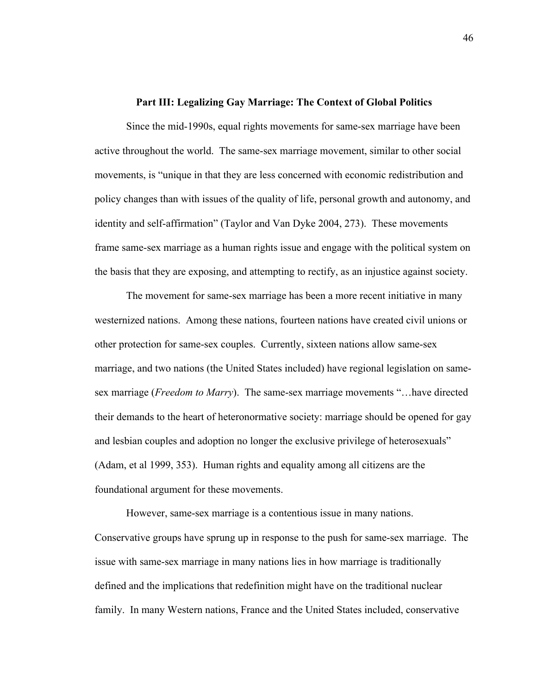#### **Part III: Legalizing Gay Marriage: The Context of Global Politics**

Since the mid-1990s, equal rights movements for same-sex marriage have been active throughout the world. The same-sex marriage movement, similar to other social movements, is "unique in that they are less concerned with economic redistribution and policy changes than with issues of the quality of life, personal growth and autonomy, and identity and self-affirmation" (Taylor and Van Dyke 2004, 273). These movements frame same-sex marriage as a human rights issue and engage with the political system on the basis that they are exposing, and attempting to rectify, as an injustice against society.

The movement for same-sex marriage has been a more recent initiative in many westernized nations. Among these nations, fourteen nations have created civil unions or other protection for same-sex couples. Currently, sixteen nations allow same-sex marriage, and two nations (the United States included) have regional legislation on samesex marriage (*Freedom to Marry*). The same-sex marriage movements "…have directed their demands to the heart of heteronormative society: marriage should be opened for gay and lesbian couples and adoption no longer the exclusive privilege of heterosexuals" (Adam, et al 1999, 353). Human rights and equality among all citizens are the foundational argument for these movements.

However, same-sex marriage is a contentious issue in many nations. Conservative groups have sprung up in response to the push for same-sex marriage. The issue with same-sex marriage in many nations lies in how marriage is traditionally defined and the implications that redefinition might have on the traditional nuclear family. In many Western nations, France and the United States included, conservative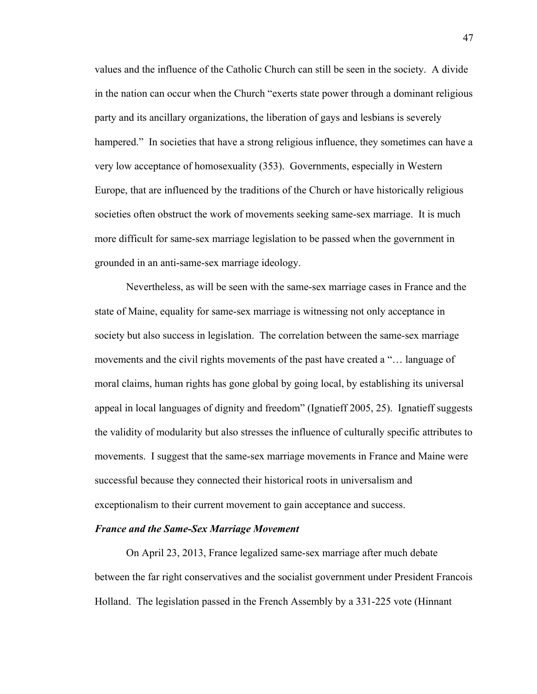values and the influence of the Catholic Church can still be seen in the society. A divide in the nation can occur when the Church "exerts state power through a dominant religious party and its ancillary organizations, the liberation of gays and lesbians is severely hampered." In societies that have a strong religious influence, they sometimes can have a very low acceptance of homosexuality (353). Governments, especially in Western Europe, that are influenced by the traditions of the Church or have historically religious societies often obstruct the work of movements seeking same-sex marriage. It is much more difficult for same-sex marriage legislation to be passed when the government in grounded in an anti-same-sex marriage ideology.

Nevertheless, as will be seen with the same-sex marriage cases in France and the state of Maine, equality for same-sex marriage is witnessing not only acceptance in society but also success in legislation. The correlation between the same-sex marriage movements and the civil rights movements of the past have created a "… language of moral claims, human rights has gone global by going local, by establishing its universal appeal in local languages of dignity and freedom" (Ignatieff 2005, 25). Ignatieff suggests the validity of modularity but also stresses the influence of culturally specific attributes to movements. I suggest that the same-sex marriage movements in France and Maine were successful because they connected their historical roots in universalism and exceptionalism to their current movement to gain acceptance and success.

#### *France and the Same-Sex Marriage Movement*

On April 23, 2013, France legalized same-sex marriage after much debate between the far right conservatives and the socialist government under President Francois Holland. The legislation passed in the French Assembly by a 331-225 vote (Hinnant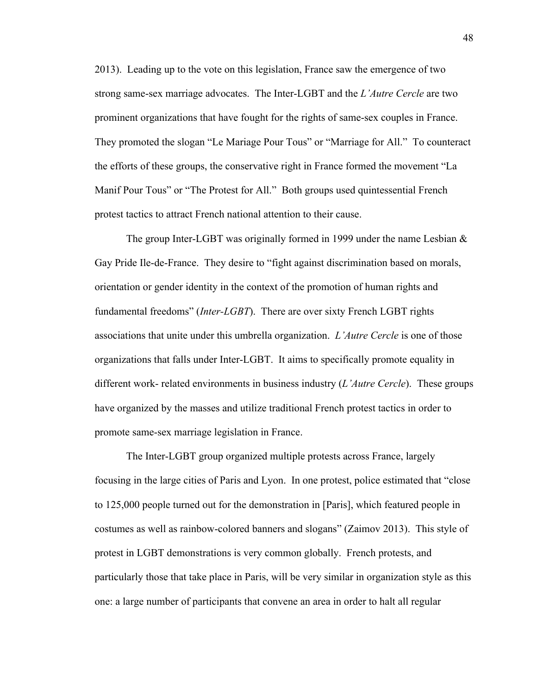2013). Leading up to the vote on this legislation, France saw the emergence of two strong same-sex marriage advocates. The Inter-LGBT and the *L'Autre Cercle* are two prominent organizations that have fought for the rights of same-sex couples in France. They promoted the slogan "Le Mariage Pour Tous" or "Marriage for All." To counteract the efforts of these groups, the conservative right in France formed the movement "La Manif Pour Tous" or "The Protest for All." Both groups used quintessential French protest tactics to attract French national attention to their cause.

The group Inter-LGBT was originally formed in 1999 under the name Lesbian  $\&$ Gay Pride Ile-de-France. They desire to "fight against discrimination based on morals, orientation or gender identity in the context of the promotion of human rights and fundamental freedoms" (*Inter-LGBT*). There are over sixty French LGBT rights associations that unite under this umbrella organization. *L'Autre Cercle* is one of those organizations that falls under Inter-LGBT. It aims to specifically promote equality in different work- related environments in business industry (*L'Autre Cercle*). These groups have organized by the masses and utilize traditional French protest tactics in order to promote same-sex marriage legislation in France.

The Inter-LGBT group organized multiple protests across France, largely focusing in the large cities of Paris and Lyon. In one protest, police estimated that "close to 125,000 people turned out for the demonstration in [Paris], which featured people in costumes as well as rainbow-colored banners and slogans" (Zaimov 2013). This style of protest in LGBT demonstrations is very common globally. French protests, and particularly those that take place in Paris, will be very similar in organization style as this one: a large number of participants that convene an area in order to halt all regular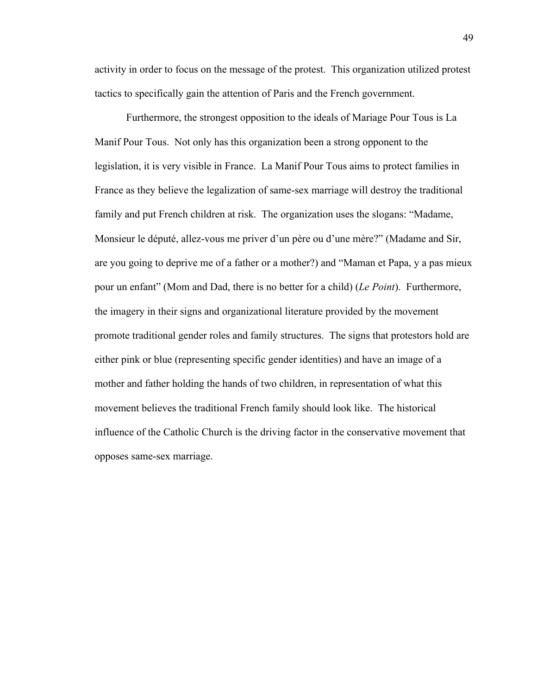activity in order to focus on the message of the protest. This organization utilized protest tactics to specifically gain the attention of Paris and the French government.

Furthermore, the strongest opposition to the ideals of Mariage Pour Tous is La Manif Pour Tous. Not only has this organization been a strong opponent to the legislation, it is very visible in France. La Manif Pour Tous aims to protect families in France as they believe the legalization of same-sex marriage will destroy the traditional family and put French children at risk. The organization uses the slogans: "Madame, Monsieur le député, allez-vous me priver d'un père ou d'une mère?" (Madame and Sir, are you going to deprive me of a father or a mother?) and "Maman et Papa, y a pas mieux pour un enfant" (Mom and Dad, there is no better for a child) (*Le Point*). Furthermore, the imagery in their signs and organizational literature provided by the movement promote traditional gender roles and family structures. The signs that protestors hold are either pink or blue (representing specific gender identities) and have an image of a mother and father holding the hands of two children, in representation of what this movement believes the traditional French family should look like. The historical influence of the Catholic Church is the driving factor in the conservative movement that opposes same-sex marriage.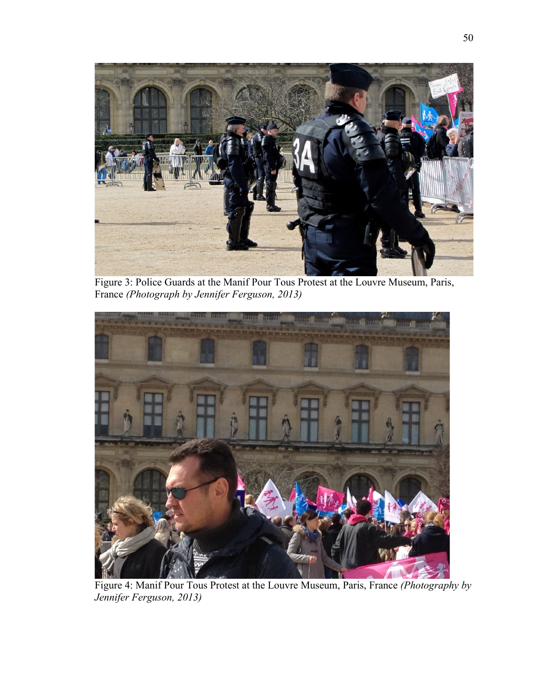

Figure 3: Police Guards at the Manif Pour Tous Protest at the Louvre Museum, Paris, France *(Photograph by Jennifer Ferguson, 2013)*



Figure 4: Manif Pour Tous Protest at the Louvre Museum, Paris, France *(Photography by Jennifer Ferguson, 2013)*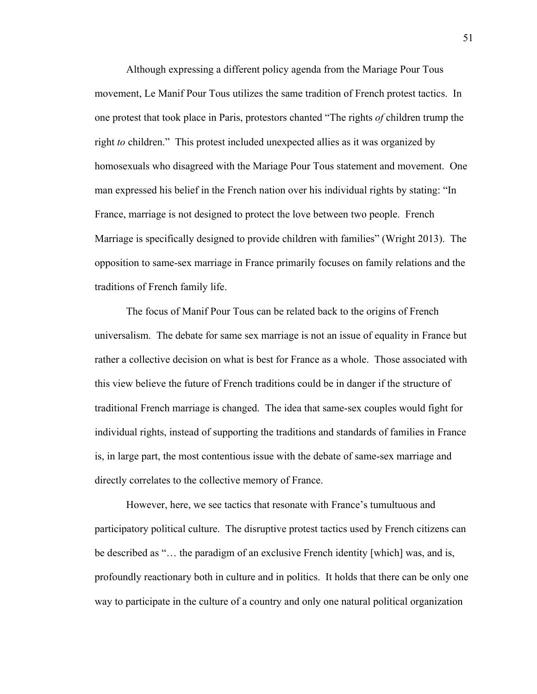Although expressing a different policy agenda from the Mariage Pour Tous movement, Le Manif Pour Tous utilizes the same tradition of French protest tactics. In one protest that took place in Paris, protestors chanted "The rights *of* children trump the right *to* children." This protest included unexpected allies as it was organized by homosexuals who disagreed with the Mariage Pour Tous statement and movement. One man expressed his belief in the French nation over his individual rights by stating: "In France, marriage is not designed to protect the love between two people. French Marriage is specifically designed to provide children with families" (Wright 2013). The opposition to same-sex marriage in France primarily focuses on family relations and the traditions of French family life.

The focus of Manif Pour Tous can be related back to the origins of French universalism. The debate for same sex marriage is not an issue of equality in France but rather a collective decision on what is best for France as a whole. Those associated with this view believe the future of French traditions could be in danger if the structure of traditional French marriage is changed. The idea that same-sex couples would fight for individual rights, instead of supporting the traditions and standards of families in France is, in large part, the most contentious issue with the debate of same-sex marriage and directly correlates to the collective memory of France.

However, here, we see tactics that resonate with France's tumultuous and participatory political culture. The disruptive protest tactics used by French citizens can be described as "… the paradigm of an exclusive French identity [which] was, and is, profoundly reactionary both in culture and in politics. It holds that there can be only one way to participate in the culture of a country and only one natural political organization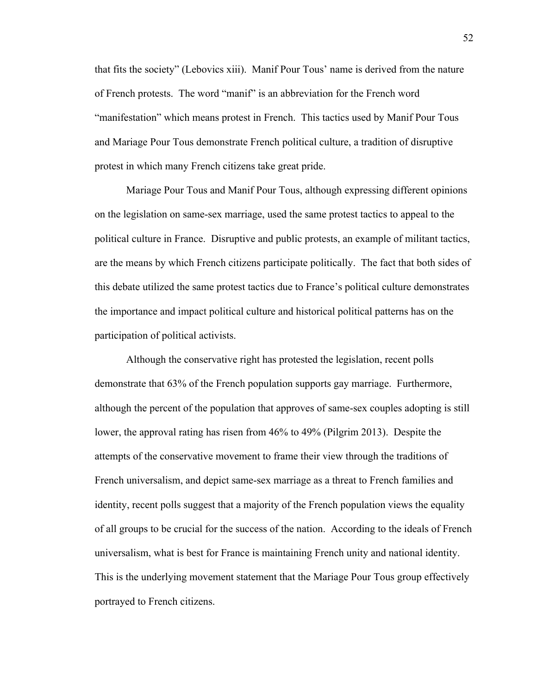that fits the society" (Lebovics xiii). Manif Pour Tous' name is derived from the nature of French protests. The word "manif" is an abbreviation for the French word "manifestation" which means protest in French. This tactics used by Manif Pour Tous and Mariage Pour Tous demonstrate French political culture, a tradition of disruptive protest in which many French citizens take great pride.

Mariage Pour Tous and Manif Pour Tous, although expressing different opinions on the legislation on same-sex marriage, used the same protest tactics to appeal to the political culture in France. Disruptive and public protests, an example of militant tactics, are the means by which French citizens participate politically. The fact that both sides of this debate utilized the same protest tactics due to France's political culture demonstrates the importance and impact political culture and historical political patterns has on the participation of political activists.

Although the conservative right has protested the legislation, recent polls demonstrate that 63% of the French population supports gay marriage. Furthermore, although the percent of the population that approves of same-sex couples adopting is still lower, the approval rating has risen from 46% to 49% (Pilgrim 2013). Despite the attempts of the conservative movement to frame their view through the traditions of French universalism, and depict same-sex marriage as a threat to French families and identity, recent polls suggest that a majority of the French population views the equality of all groups to be crucial for the success of the nation. According to the ideals of French universalism, what is best for France is maintaining French unity and national identity. This is the underlying movement statement that the Mariage Pour Tous group effectively portrayed to French citizens.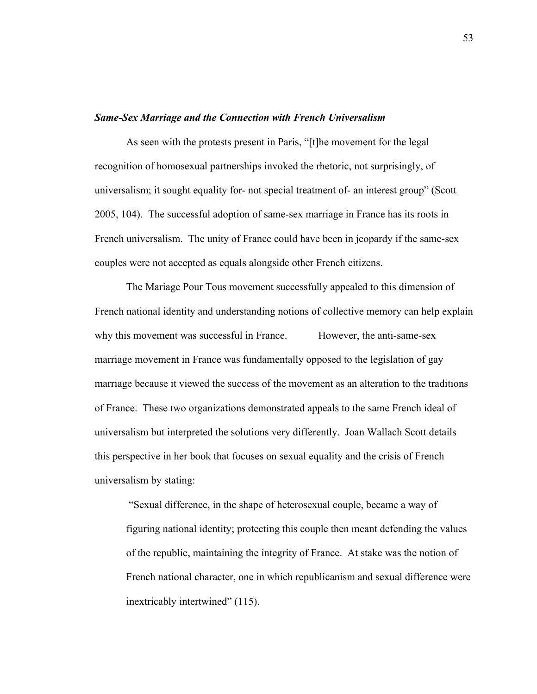## *Same-Sex Marriage and the Connection with French Universalism*

As seen with the protests present in Paris, "[t]he movement for the legal recognition of homosexual partnerships invoked the rhetoric, not surprisingly, of universalism; it sought equality for- not special treatment of- an interest group" (Scott 2005, 104). The successful adoption of same-sex marriage in France has its roots in French universalism. The unity of France could have been in jeopardy if the same-sex couples were not accepted as equals alongside other French citizens.

The Mariage Pour Tous movement successfully appealed to this dimension of French national identity and understanding notions of collective memory can help explain why this movement was successful in France. However, the anti-same-sex marriage movement in France was fundamentally opposed to the legislation of gay marriage because it viewed the success of the movement as an alteration to the traditions of France. These two organizations demonstrated appeals to the same French ideal of universalism but interpreted the solutions very differently. Joan Wallach Scott details this perspective in her book that focuses on sexual equality and the crisis of French universalism by stating:

"Sexual difference, in the shape of heterosexual couple, became a way of figuring national identity; protecting this couple then meant defending the values of the republic, maintaining the integrity of France. At stake was the notion of French national character, one in which republicanism and sexual difference were inextricably intertwined" (115).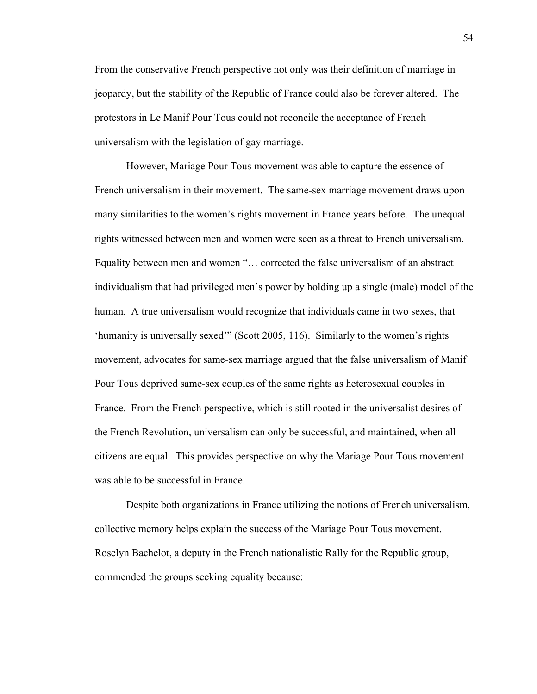From the conservative French perspective not only was their definition of marriage in jeopardy, but the stability of the Republic of France could also be forever altered. The protestors in Le Manif Pour Tous could not reconcile the acceptance of French universalism with the legislation of gay marriage.

However, Mariage Pour Tous movement was able to capture the essence of French universalism in their movement. The same-sex marriage movement draws upon many similarities to the women's rights movement in France years before. The unequal rights witnessed between men and women were seen as a threat to French universalism. Equality between men and women "… corrected the false universalism of an abstract individualism that had privileged men's power by holding up a single (male) model of the human. A true universalism would recognize that individuals came in two sexes, that 'humanity is universally sexed'" (Scott 2005, 116). Similarly to the women's rights movement, advocates for same-sex marriage argued that the false universalism of Manif Pour Tous deprived same-sex couples of the same rights as heterosexual couples in France. From the French perspective, which is still rooted in the universalist desires of the French Revolution, universalism can only be successful, and maintained, when all citizens are equal. This provides perspective on why the Mariage Pour Tous movement was able to be successful in France.

Despite both organizations in France utilizing the notions of French universalism, collective memory helps explain the success of the Mariage Pour Tous movement. Roselyn Bachelot, a deputy in the French nationalistic Rally for the Republic group, commended the groups seeking equality because: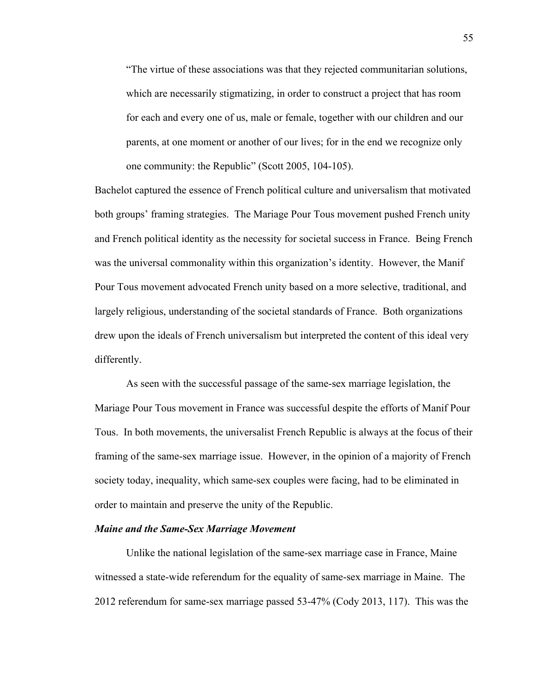"The virtue of these associations was that they rejected communitarian solutions, which are necessarily stigmatizing, in order to construct a project that has room for each and every one of us, male or female, together with our children and our parents, at one moment or another of our lives; for in the end we recognize only one community: the Republic" (Scott 2005, 104-105).

Bachelot captured the essence of French political culture and universalism that motivated both groups' framing strategies. The Mariage Pour Tous movement pushed French unity and French political identity as the necessity for societal success in France. Being French was the universal commonality within this organization's identity. However, the Manif Pour Tous movement advocated French unity based on a more selective, traditional, and largely religious, understanding of the societal standards of France. Both organizations drew upon the ideals of French universalism but interpreted the content of this ideal very differently.

As seen with the successful passage of the same-sex marriage legislation, the Mariage Pour Tous movement in France was successful despite the efforts of Manif Pour Tous. In both movements, the universalist French Republic is always at the focus of their framing of the same-sex marriage issue. However, in the opinion of a majority of French society today, inequality, which same-sex couples were facing, had to be eliminated in order to maintain and preserve the unity of the Republic.

#### *Maine and the Same-Sex Marriage Movement*

Unlike the national legislation of the same-sex marriage case in France, Maine witnessed a state-wide referendum for the equality of same-sex marriage in Maine. The 2012 referendum for same-sex marriage passed 53-47% (Cody 2013, 117). This was the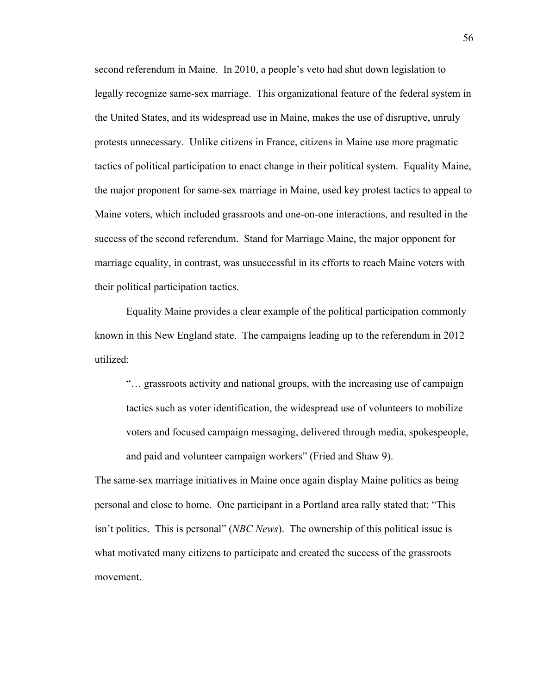second referendum in Maine. In 2010, a people's veto had shut down legislation to legally recognize same-sex marriage. This organizational feature of the federal system in the United States, and its widespread use in Maine, makes the use of disruptive, unruly protests unnecessary. Unlike citizens in France, citizens in Maine use more pragmatic tactics of political participation to enact change in their political system. Equality Maine, the major proponent for same-sex marriage in Maine, used key protest tactics to appeal to Maine voters, which included grassroots and one-on-one interactions, and resulted in the success of the second referendum. Stand for Marriage Maine, the major opponent for marriage equality, in contrast, was unsuccessful in its efforts to reach Maine voters with their political participation tactics.

Equality Maine provides a clear example of the political participation commonly known in this New England state. The campaigns leading up to the referendum in 2012 utilized:

"… grassroots activity and national groups, with the increasing use of campaign tactics such as voter identification, the widespread use of volunteers to mobilize voters and focused campaign messaging, delivered through media, spokespeople, and paid and volunteer campaign workers" (Fried and Shaw 9).

The same-sex marriage initiatives in Maine once again display Maine politics as being personal and close to home. One participant in a Portland area rally stated that: "This isn't politics. This is personal" (*NBC News*). The ownership of this political issue is what motivated many citizens to participate and created the success of the grassroots movement.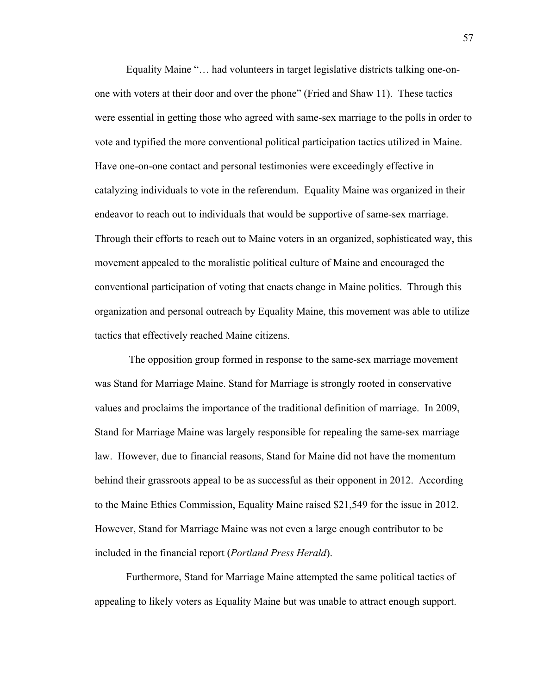Equality Maine "… had volunteers in target legislative districts talking one-onone with voters at their door and over the phone" (Fried and Shaw 11). These tactics were essential in getting those who agreed with same-sex marriage to the polls in order to vote and typified the more conventional political participation tactics utilized in Maine. Have one-on-one contact and personal testimonies were exceedingly effective in catalyzing individuals to vote in the referendum. Equality Maine was organized in their endeavor to reach out to individuals that would be supportive of same-sex marriage. Through their efforts to reach out to Maine voters in an organized, sophisticated way, this movement appealed to the moralistic political culture of Maine and encouraged the conventional participation of voting that enacts change in Maine politics. Through this organization and personal outreach by Equality Maine, this movement was able to utilize tactics that effectively reached Maine citizens.

The opposition group formed in response to the same-sex marriage movement was Stand for Marriage Maine. Stand for Marriage is strongly rooted in conservative values and proclaims the importance of the traditional definition of marriage. In 2009, Stand for Marriage Maine was largely responsible for repealing the same-sex marriage law. However, due to financial reasons, Stand for Maine did not have the momentum behind their grassroots appeal to be as successful as their opponent in 2012. According to the Maine Ethics Commission, Equality Maine raised \$21,549 for the issue in 2012. However, Stand for Marriage Maine was not even a large enough contributor to be included in the financial report (*Portland Press Herald*).

Furthermore, Stand for Marriage Maine attempted the same political tactics of appealing to likely voters as Equality Maine but was unable to attract enough support.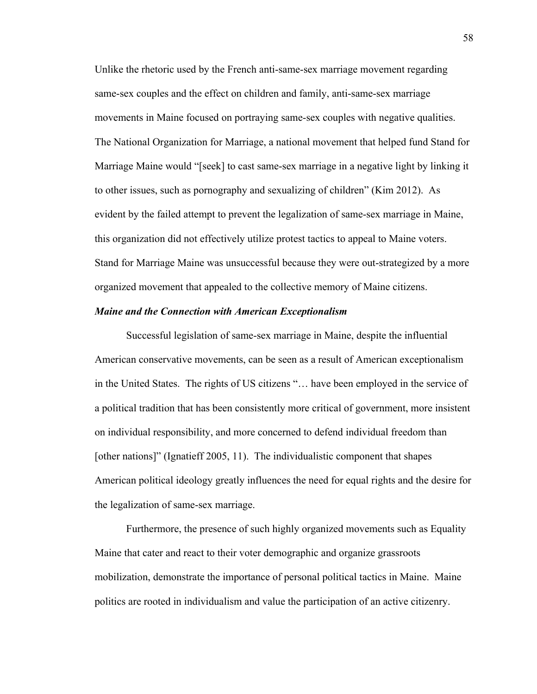Unlike the rhetoric used by the French anti-same-sex marriage movement regarding same-sex couples and the effect on children and family, anti-same-sex marriage movements in Maine focused on portraying same-sex couples with negative qualities. The National Organization for Marriage, a national movement that helped fund Stand for Marriage Maine would "[seek] to cast same-sex marriage in a negative light by linking it to other issues, such as pornography and sexualizing of children" (Kim 2012). As evident by the failed attempt to prevent the legalization of same-sex marriage in Maine, this organization did not effectively utilize protest tactics to appeal to Maine voters. Stand for Marriage Maine was unsuccessful because they were out-strategized by a more organized movement that appealed to the collective memory of Maine citizens.

### *Maine and the Connection with American Exceptionalism*

Successful legislation of same-sex marriage in Maine, despite the influential American conservative movements, can be seen as a result of American exceptionalism in the United States. The rights of US citizens "… have been employed in the service of a political tradition that has been consistently more critical of government, more insistent on individual responsibility, and more concerned to defend individual freedom than [other nations]" (Ignatieff 2005, 11). The individualistic component that shapes American political ideology greatly influences the need for equal rights and the desire for the legalization of same-sex marriage.

Furthermore, the presence of such highly organized movements such as Equality Maine that cater and react to their voter demographic and organize grassroots mobilization, demonstrate the importance of personal political tactics in Maine. Maine politics are rooted in individualism and value the participation of an active citizenry.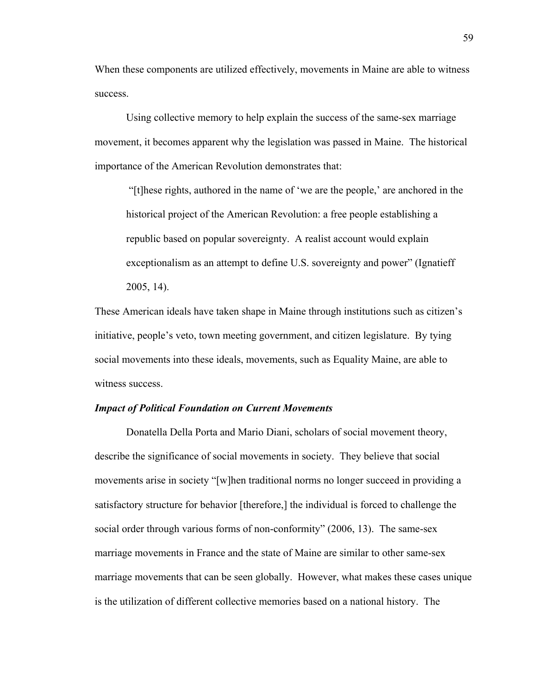When these components are utilized effectively, movements in Maine are able to witness success.

Using collective memory to help explain the success of the same-sex marriage movement, it becomes apparent why the legislation was passed in Maine. The historical importance of the American Revolution demonstrates that:

"[t]hese rights, authored in the name of 'we are the people,' are anchored in the historical project of the American Revolution: a free people establishing a republic based on popular sovereignty. A realist account would explain exceptionalism as an attempt to define U.S. sovereignty and power" (Ignatieff 2005, 14).

These American ideals have taken shape in Maine through institutions such as citizen's initiative, people's veto, town meeting government, and citizen legislature. By tying social movements into these ideals, movements, such as Equality Maine, are able to witness success.

#### *Impact of Political Foundation on Current Movements*

Donatella Della Porta and Mario Diani, scholars of social movement theory, describe the significance of social movements in society. They believe that social movements arise in society "[w]hen traditional norms no longer succeed in providing a satisfactory structure for behavior [therefore,] the individual is forced to challenge the social order through various forms of non-conformity" (2006, 13). The same-sex marriage movements in France and the state of Maine are similar to other same-sex marriage movements that can be seen globally. However, what makes these cases unique is the utilization of different collective memories based on a national history. The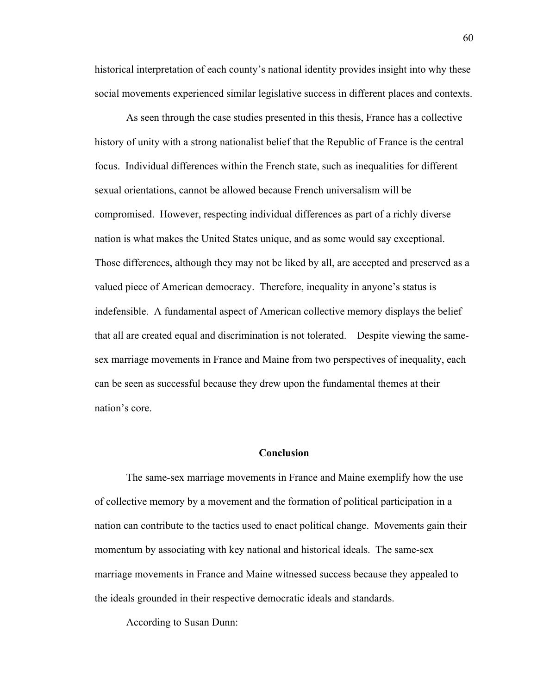historical interpretation of each county's national identity provides insight into why these social movements experienced similar legislative success in different places and contexts.

As seen through the case studies presented in this thesis, France has a collective history of unity with a strong nationalist belief that the Republic of France is the central focus. Individual differences within the French state, such as inequalities for different sexual orientations, cannot be allowed because French universalism will be compromised. However, respecting individual differences as part of a richly diverse nation is what makes the United States unique, and as some would say exceptional. Those differences, although they may not be liked by all, are accepted and preserved as a valued piece of American democracy. Therefore, inequality in anyone's status is indefensible. A fundamental aspect of American collective memory displays the belief that all are created equal and discrimination is not tolerated. Despite viewing the samesex marriage movements in France and Maine from two perspectives of inequality, each can be seen as successful because they drew upon the fundamental themes at their nation's core.

## **Conclusion**

The same-sex marriage movements in France and Maine exemplify how the use of collective memory by a movement and the formation of political participation in a nation can contribute to the tactics used to enact political change. Movements gain their momentum by associating with key national and historical ideals. The same-sex marriage movements in France and Maine witnessed success because they appealed to the ideals grounded in their respective democratic ideals and standards.

According to Susan Dunn: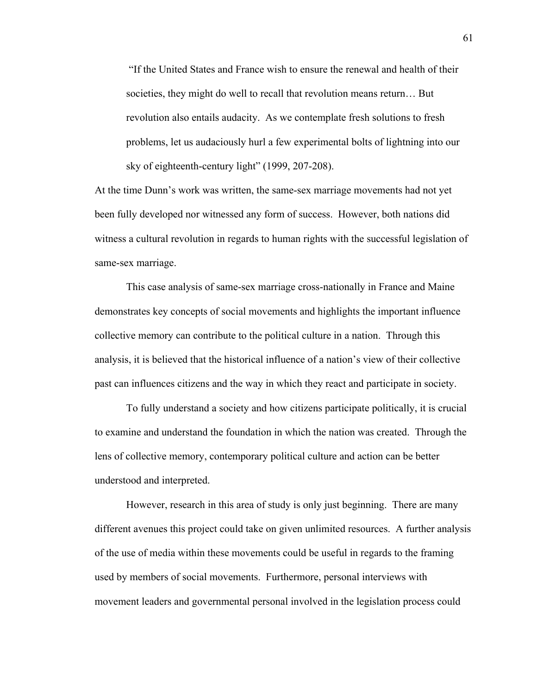"If the United States and France wish to ensure the renewal and health of their societies, they might do well to recall that revolution means return… But revolution also entails audacity. As we contemplate fresh solutions to fresh problems, let us audaciously hurl a few experimental bolts of lightning into our sky of eighteenth-century light" (1999, 207-208).

At the time Dunn's work was written, the same-sex marriage movements had not yet been fully developed nor witnessed any form of success. However, both nations did witness a cultural revolution in regards to human rights with the successful legislation of same-sex marriage.

This case analysis of same-sex marriage cross-nationally in France and Maine demonstrates key concepts of social movements and highlights the important influence collective memory can contribute to the political culture in a nation. Through this analysis, it is believed that the historical influence of a nation's view of their collective past can influences citizens and the way in which they react and participate in society.

To fully understand a society and how citizens participate politically, it is crucial to examine and understand the foundation in which the nation was created. Through the lens of collective memory, contemporary political culture and action can be better understood and interpreted.

However, research in this area of study is only just beginning. There are many different avenues this project could take on given unlimited resources. A further analysis of the use of media within these movements could be useful in regards to the framing used by members of social movements. Furthermore, personal interviews with movement leaders and governmental personal involved in the legislation process could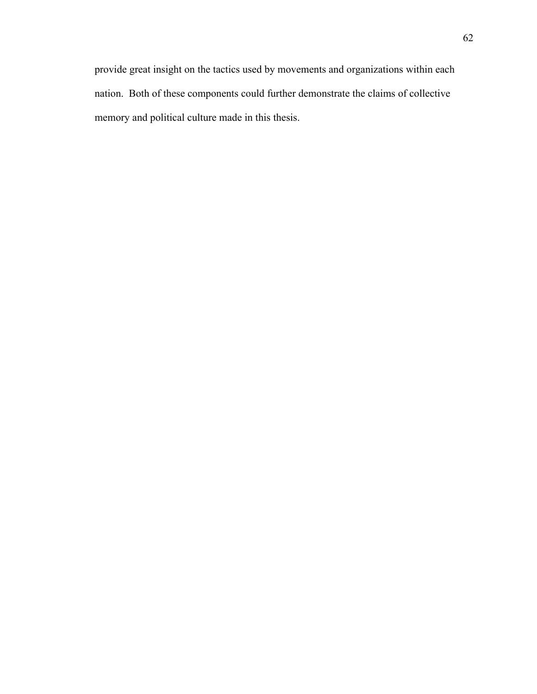provide great insight on the tactics used by movements and organizations within each nation. Both of these components could further demonstrate the claims of collective memory and political culture made in this thesis.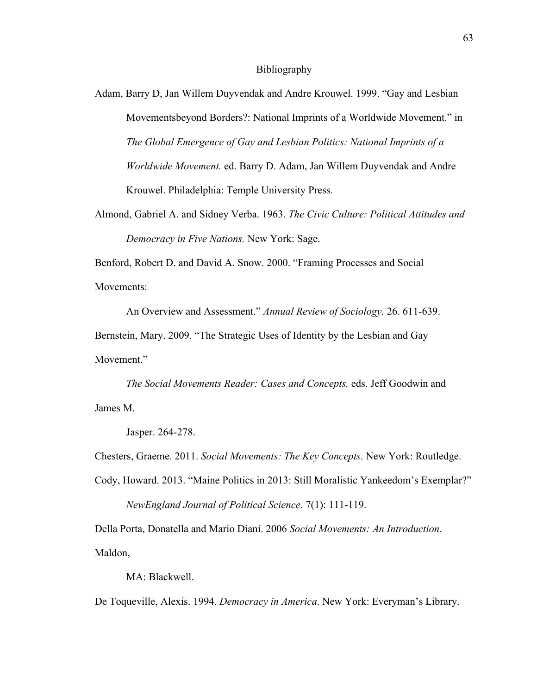#### Bibliography

Adam, Barry D, Jan Willem Duyvendak and Andre Krouwel. 1999. "Gay and Lesbian Movementsbeyond Borders?: National Imprints of a Worldwide Movement." in *The Global Emergence of Gay and Lesbian Politics: National Imprints of a Worldwide Movement.* ed. Barry D. Adam, Jan Willem Duyvendak and Andre Krouwel. Philadelphia: Temple University Press.

Almond, Gabriel A. and Sidney Verba. 1963. *The Civic Culture: Political Attitudes and Democracy in Five Nations.* New York: Sage.

Benford, Robert D. and David A. Snow. 2000. "Framing Processes and Social Movements<sup>-</sup>

An Overview and Assessment." *Annual Review of Sociology.* 26. 611-639.

Bernstein, Mary. 2009. "The Strategic Uses of Identity by the Lesbian and Gay Movement"

*The Social Movements Reader: Cases and Concepts.* eds. Jeff Goodwin and James M.

Jasper. 264-278.

Chesters, Graeme. 2011. *Social Movements: The Key Concepts*. New York: Routledge.

Cody, Howard. 2013. "Maine Politics in 2013: Still Moralistic Yankeedom's Exemplar?" *NewEngland Journal of Political Science*. 7(1): 111-119.

Della Porta, Donatella and Mario Diani. 2006 *Social Movements: An Introduction*. Maldon,

MA: Blackwell.

De Toqueville, Alexis. 1994. *Democracy in America*. New York: Everyman's Library.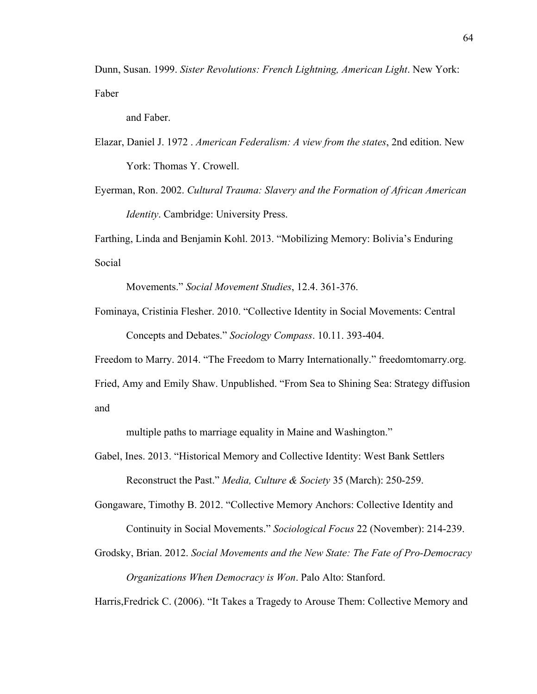Dunn, Susan. 1999. *Sister Revolutions: French Lightning, American Light*. New York: Faber

and Faber.

- Elazar, Daniel J. 1972 . *American Federalism: A view from the states*, 2nd edition. New York: Thomas Y. Crowell.
- Eyerman, Ron. 2002. *Cultural Trauma: Slavery and the Formation of African American Identity*. Cambridge: University Press.

Farthing, Linda and Benjamin Kohl. 2013. "Mobilizing Memory: Bolivia's Enduring Social

Movements." *Social Movement Studies*, 12.4. 361-376.

Fominaya, Cristinia Flesher. 2010. "Collective Identity in Social Movements: Central Concepts and Debates." *Sociology Compass*. 10.11. 393-404.

Freedom to Marry. 2014. "The Freedom to Marry Internationally." freedomtomarry.org.

Fried, Amy and Emily Shaw. Unpublished. "From Sea to Shining Sea: Strategy diffusion and

multiple paths to marriage equality in Maine and Washington."

Gabel, Ines. 2013. "Historical Memory and Collective Identity: West Bank Settlers Reconstruct the Past." *Media, Culture & Society* 35 (March): 250-259.

Gongaware, Timothy B. 2012. "Collective Memory Anchors: Collective Identity and Continuity in Social Movements." *Sociological Focus* 22 (November): 214-239.

Grodsky, Brian. 2012. *Social Movements and the New State: The Fate of Pro-Democracy Organizations When Democracy is Won*. Palo Alto: Stanford.

Harris,Fredrick C. (2006). "It Takes a Tragedy to Arouse Them: Collective Memory and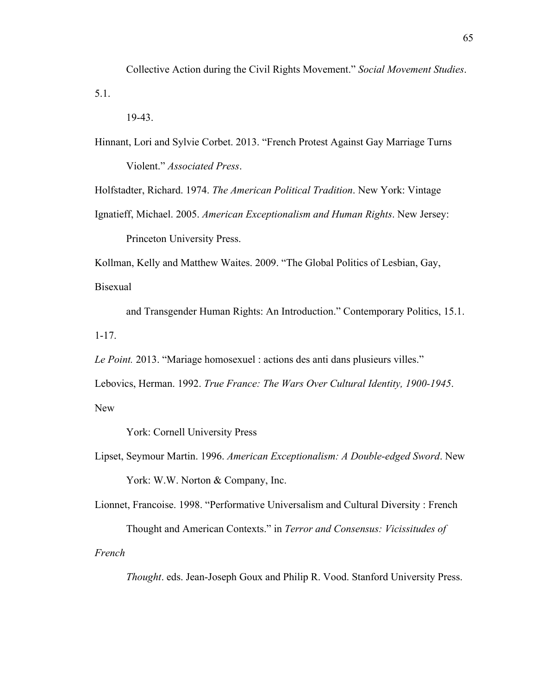Collective Action during the Civil Rights Movement." *Social Movement Studies*. 5.1.

19-43.

Hinnant, Lori and Sylvie Corbet. 2013. "French Protest Against Gay Marriage Turns Violent." *Associated Press*.

Holfstadter, Richard. 1974. *The American Political Tradition*. New York: Vintage

Ignatieff, Michael. 2005. *American Exceptionalism and Human Rights*. New Jersey: Princeton University Press.

Kollman, Kelly and Matthew Waites. 2009. "The Global Politics of Lesbian, Gay, Bisexual

and Transgender Human Rights: An Introduction." Contemporary Politics, 15.1. 1-17.

*Le Point.* 2013. "Mariage homosexuel : actions des anti dans plusieurs villes."

Lebovics, Herman. 1992. *True France: The Wars Over Cultural Identity, 1900-1945*. New

York: Cornell University Press

Lipset, Seymour Martin. 1996. *American Exceptionalism: A Double-edged Sword*. New York: W.W. Norton & Company, Inc.

Lionnet, Francoise. 1998. "Performative Universalism and Cultural Diversity : French Thought and American Contexts." in *Terror and Consensus: Vicissitudes of* 

*French* 

*Thought*. eds. Jean-Joseph Goux and Philip R. Vood. Stanford University Press.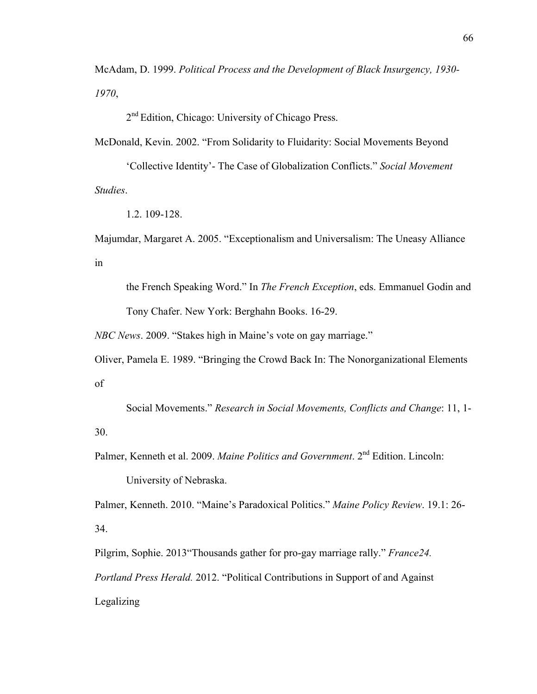McAdam, D. 1999. *Political Process and the Development of Black Insurgency, 1930- 1970*,

2<sup>nd</sup> Edition, Chicago: University of Chicago Press.

McDonald, Kevin. 2002. "From Solidarity to Fluidarity: Social Movements Beyond

'Collective Identity'- The Case of Globalization Conflicts." *Social Movement Studies*.

1.2. 109-128.

Majumdar, Margaret A. 2005. "Exceptionalism and Universalism: The Uneasy Alliance in

the French Speaking Word." In *The French Exception*, eds. Emmanuel Godin and Tony Chafer. New York: Berghahn Books. 16-29.

*NBC News*. 2009. "Stakes high in Maine's vote on gay marriage."

Oliver, Pamela E. 1989. "Bringing the Crowd Back In: The Nonorganizational Elements of

Social Movements." *Research in Social Movements, Conflicts and Change*: 11, 1- 30.

Palmer, Kenneth et al. 2009. *Maine Politics and Government*. 2<sup>nd</sup> Edition. Lincoln: University of Nebraska.

Palmer, Kenneth. 2010. "Maine's Paradoxical Politics." *Maine Policy Review*. 19.1: 26- 34.

Pilgrim, Sophie. 2013"Thousands gather for pro-gay marriage rally." *France24. Portland Press Herald.* 2012. "Political Contributions in Support of and Against Legalizing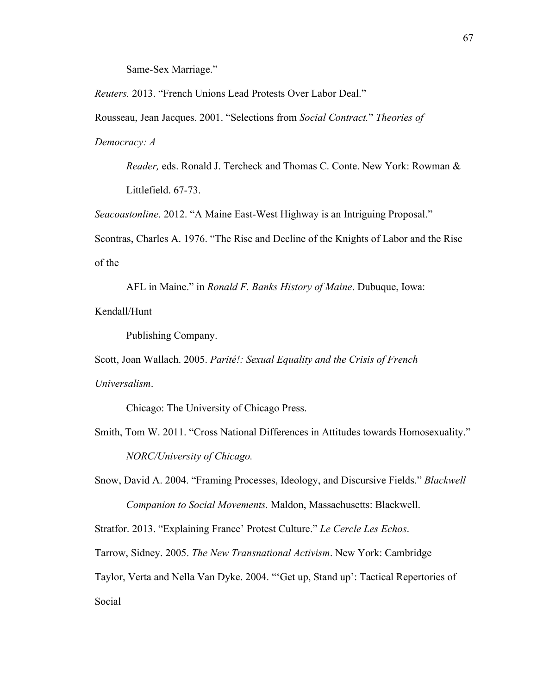Same-Sex Marriage."

*Reuters.* 2013. "French Unions Lead Protests Over Labor Deal."

Rousseau, Jean Jacques. 2001. "Selections from *Social Contract.*" *Theories of* 

*Democracy: A* 

*Reader,* eds. Ronald J. Tercheck and Thomas C. Conte. New York: Rowman & Littlefield. 67-73.

*Seacoastonline*. 2012. "A Maine East-West Highway is an Intriguing Proposal."

Scontras, Charles A. 1976. "The Rise and Decline of the Knights of Labor and the Rise of the

AFL in Maine." in *Ronald F. Banks History of Maine*. Dubuque, Iowa: Kendall/Hunt

Publishing Company.

Scott, Joan Wallach. 2005. *Parité!: Sexual Equality and the Crisis of French Universalism*.

Chicago: The University of Chicago Press.

Smith, Tom W. 2011. "Cross National Differences in Attitudes towards Homosexuality." *NORC/University of Chicago.*

Snow, David A. 2004. "Framing Processes, Ideology, and Discursive Fields." *Blackwell Companion to Social Movements.* Maldon, Massachusetts: Blackwell.

Stratfor. 2013. "Explaining France' Protest Culture." *Le Cercle Les Echos*.

Tarrow, Sidney. 2005. *The New Transnational Activism*. New York: Cambridge

Taylor, Verta and Nella Van Dyke. 2004. "'Get up, Stand up': Tactical Repertories of Social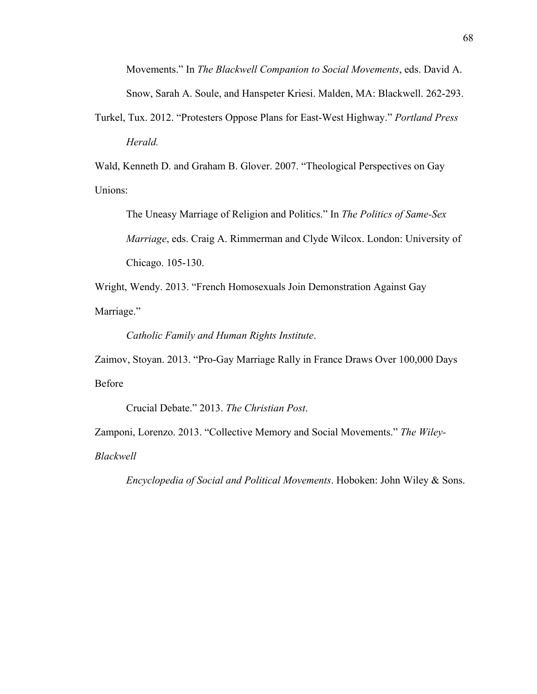Movements." In *The Blackwell Companion to Social Movements*, eds. David A. Snow, Sarah A. Soule, and Hanspeter Kriesi. Malden, MA: Blackwell. 262-293.

Turkel, Tux. 2012. "Protesters Oppose Plans for East-West Highway." *Portland Press Herald.*

Wald, Kenneth D. and Graham B. Glover. 2007. "Theological Perspectives on Gay Unions:

The Uneasy Marriage of Religion and Politics." In *The Politics of Same-Sex Marriage*, eds. Craig A. Rimmerman and Clyde Wilcox. London: University of Chicago. 105-130.

Wright, Wendy. 2013. "French Homosexuals Join Demonstration Against Gay Marriage."

*Catholic Family and Human Rights Institute*.

Zaimov, Stoyan. 2013. "Pro-Gay Marriage Rally in France Draws Over 100,000 Days Before

Crucial Debate." 2013. *The Christian Post*.

Zamponi, Lorenzo. 2013. "Collective Memory and Social Movements." *The Wiley-*

*Blackwell* 

*Encyclopedia of Social and Political Movements*. Hoboken: John Wiley & Sons.